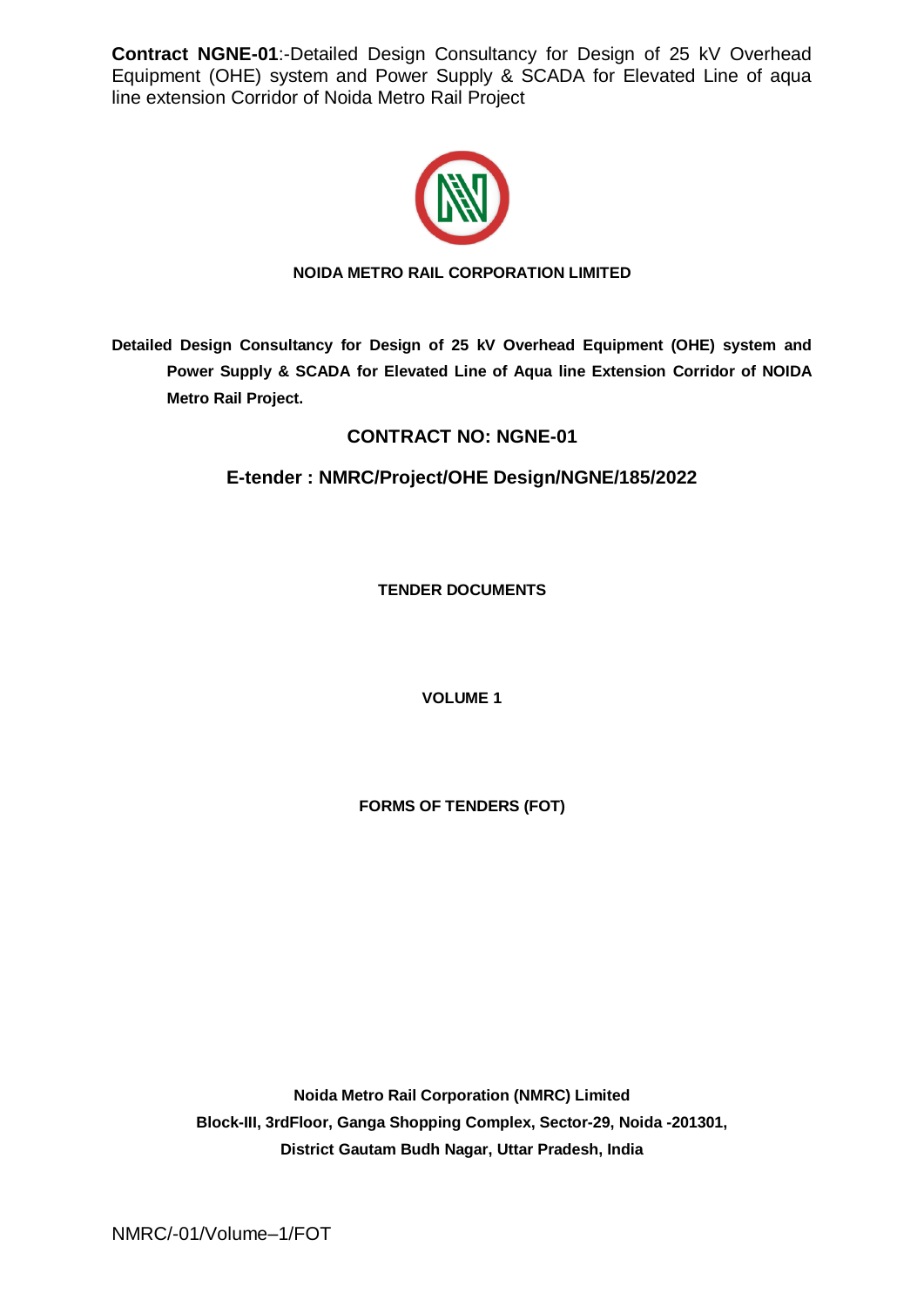

### **NOIDA METRO RAIL CORPORATION LIMITED**

**Detailed Design Consultancy for Design of 25 kV Overhead Equipment (OHE) system and Power Supply & SCADA for Elevated Line of Aqua line Extension Corridor of NOIDA Metro Rail Project.**

# **CONTRACT NO: NGNE-01**

# **E-tender : NMRC/Project/OHE Design/NGNE/185/2022**

**TENDER DOCUMENTS**

**VOLUME 1** 

**FORMS OF TENDERS (FOT)**

**Noida Metro Rail Corporation (NMRC) Limited Block-III, 3rdFloor, Ganga Shopping Complex, Sector-29, Noida -201301, District Gautam Budh Nagar, Uttar Pradesh, India**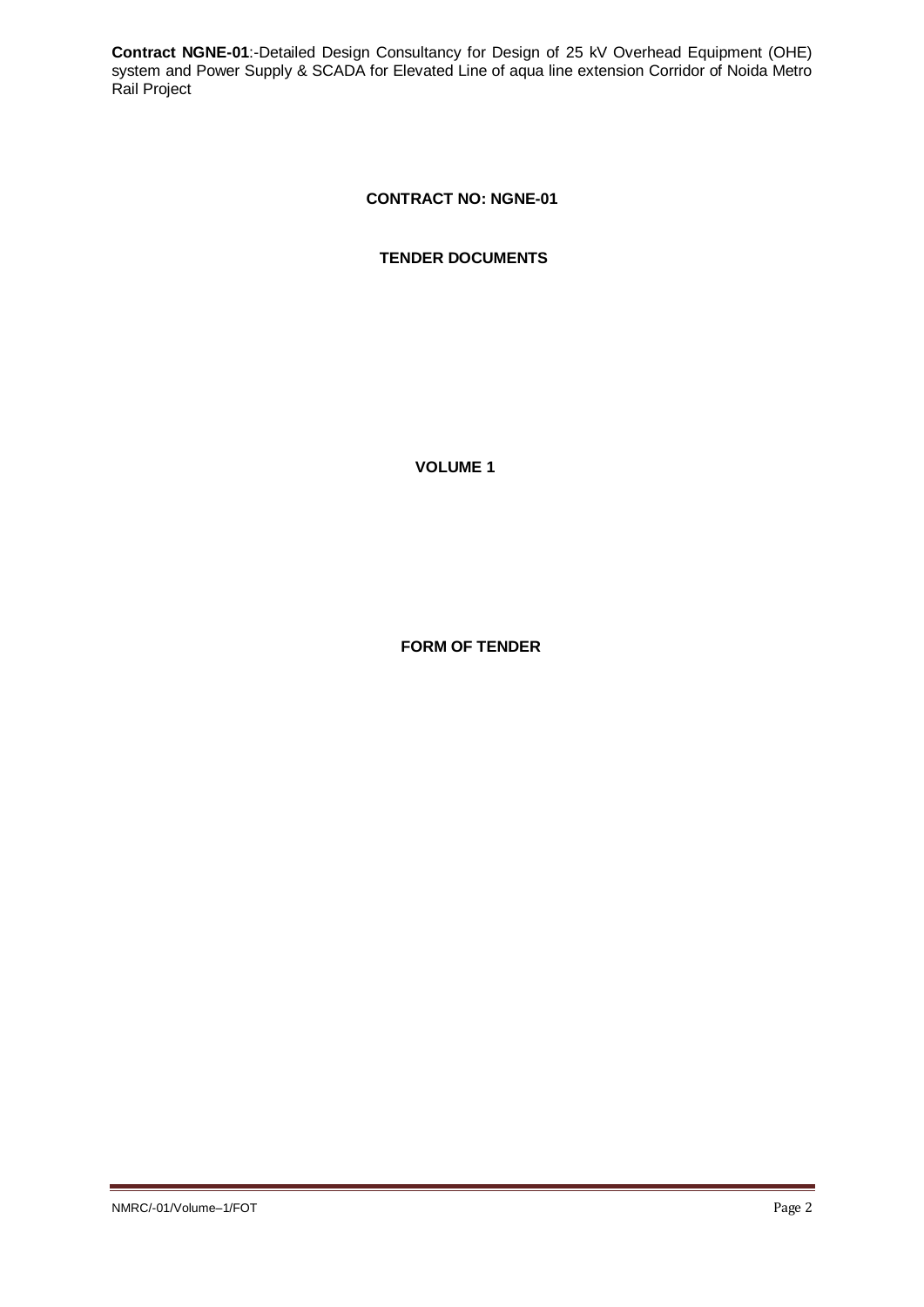## **CONTRACT NO: NGNE-01**

**TENDER DOCUMENTS**

**VOLUME 1**

**FORM OF TENDER**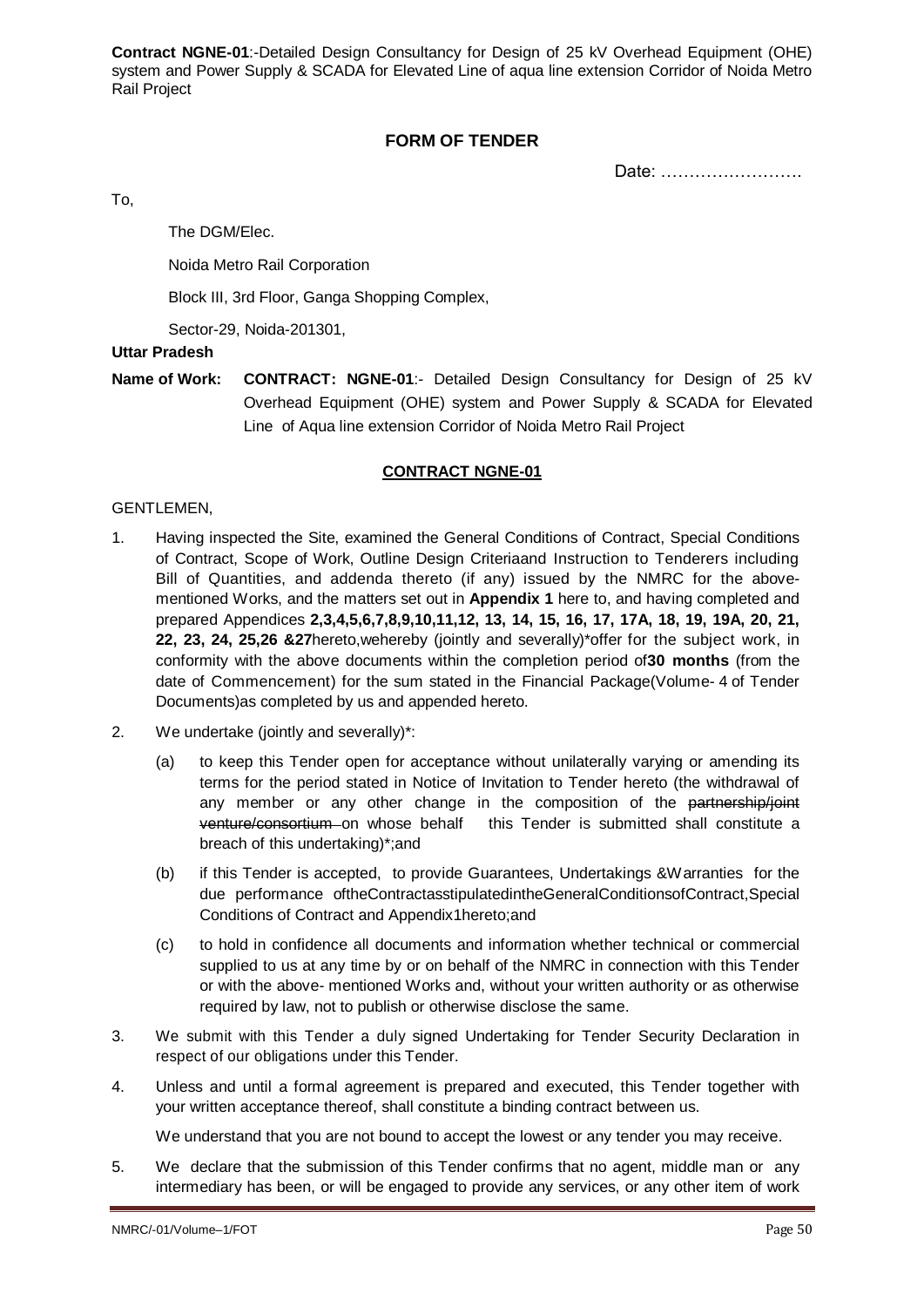### **FORM OF TENDER**

Date: …………………….

To,

The DGM/Elec.

Noida Metro Rail Corporation

Block III, 3rd Floor, Ganga Shopping Complex,

Sector-29, Noida-201301,

### **Uttar Pradesh**

**Name of Work: CONTRACT: NGNE-01**:- Detailed Design Consultancy for Design of 25 kV Overhead Equipment (OHE) system and Power Supply & SCADA for Elevated Line of Aqua line extension Corridor of Noida Metro Rail Project

#### **CONTRACT NGNE-01**

#### GENTLEMEN,

- 1. Having inspected the Site, examined the General Conditions of Contract, Special Conditions of Contract, Scope of Work, Outline Design Criteriaand Instruction to Tenderers including Bill of Quantities, and addenda thereto (if any) issued by the NMRC for the abovementioned Works, and the matters set out in **Appendix 1** here to, and having completed and prepared Appendices **2,3,4,5,6,7,8,9,10,11,12, 13, 14, 15, 16, 17, 17A, 18, 19, 19A, 20, 21, 22, 23, 24, 25,26 &27**hereto,wehereby (jointly and severally)\*offer for the subject work, in conformity with the above documents within the completion period of**30 months** (from the date of Commencement) for the sum stated in the Financial Package(Volume- 4 of Tender Documents)as completed by us and appended hereto.
- 2. We undertake (jointly and severally)\*:
	- (a) to keep this Tender open for acceptance without unilaterally varying or amending its terms for the period stated in Notice of Invitation to Tender hereto (the withdrawal of any member or any other change in the composition of the partnership/joint venture/consortium on whose behalf this Tender is submitted shall constitute a breach of this undertaking)\*;and
	- (b) if this Tender is accepted, to provide Guarantees, Undertakings &Warranties for the due performance oftheContractasstipulatedintheGeneralConditionsofContract,Special Conditions of Contract and Appendix1hereto;and
	- (c) to hold in confidence all documents and information whether technical or commercial supplied to us at any time by or on behalf of the NMRC in connection with this Tender or with the above- mentioned Works and, without your written authority or as otherwise required by law, not to publish or otherwise disclose the same.
- 3. We submit with this Tender a duly signed Undertaking for Tender Security Declaration in respect of our obligations under this Tender.
- 4. Unless and until a formal agreement is prepared and executed, this Tender together with your written acceptance thereof, shall constitute a binding contract between us.

We understand that you are not bound to accept the lowest or any tender you may receive.

5. We declare that the submission of this Tender confirms that no agent, middle man or any intermediary has been, or will be engaged to provide any services, or any other item of work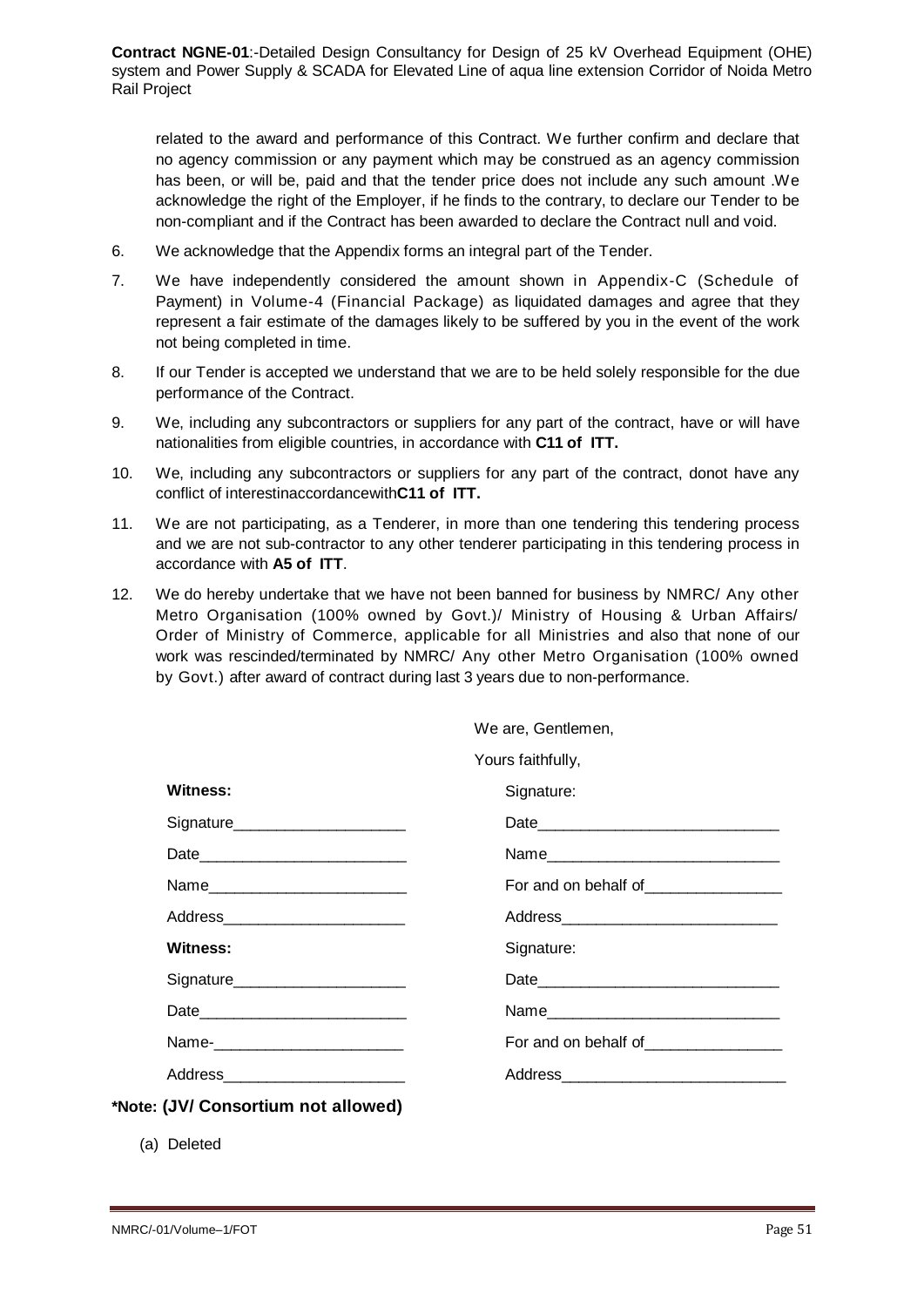related to the award and performance of this Contract. We further confirm and declare that no agency commission or any payment which may be construed as an agency commission has been, or will be, paid and that the tender price does not include any such amount .We acknowledge the right of the Employer, if he finds to the contrary, to declare our Tender to be non-compliant and if the Contract has been awarded to declare the Contract null and void.

- 6. We acknowledge that the Appendix forms an integral part of the Tender.
- 7. We have independently considered the amount shown in Appendix-C (Schedule of Payment) in Volume-4 (Financial Package) as liquidated damages and agree that they represent a fair estimate of the damages likely to be suffered by you in the event of the work not being completed in time.
- 8. If our Tender is accepted we understand that we are to be held solely responsible for the due performance of the Contract.
- 9. We, including any subcontractors or suppliers for any part of the contract, have or will have nationalities from eligible countries, in accordance with **C11 of ITT.**
- 10. We, including any subcontractors or suppliers for any part of the contract, donot have any conflict of interestinaccordancewith**C11 of ITT.**
- 11. We are not participating, as a Tenderer, in more than one tendering this tendering process and we are not sub-contractor to any other tenderer participating in this tendering process in accordance with **A5 of ITT**.
- 12. We do hereby undertake that we have not been banned for business by NMRC/ Any other Metro Organisation (100% owned by Govt.)/ Ministry of Housing & Urban Affairs/ Order of Ministry of Commerce, applicable for all Ministries and also that none of our work was rescinded/terminated by NMRC/ Any other Metro Organisation (100% owned by Govt.) after award of contract during last 3 years due to non-performance.

| Yours faithfully, |
|-------------------|
|                   |

| Witness:                           | Signature: |
|------------------------------------|------------|
| Signature_______________________   |            |
|                                    |            |
| Name                               |            |
| Address__________________________  |            |
| Witness:                           | Signature: |
| Signature______________________    |            |
|                                    |            |
| Name-__________________________    |            |
| Address___________________________ |            |
| (JV/ Consortium not allowed)       |            |

(a) Deleted

 $*$ **Note:**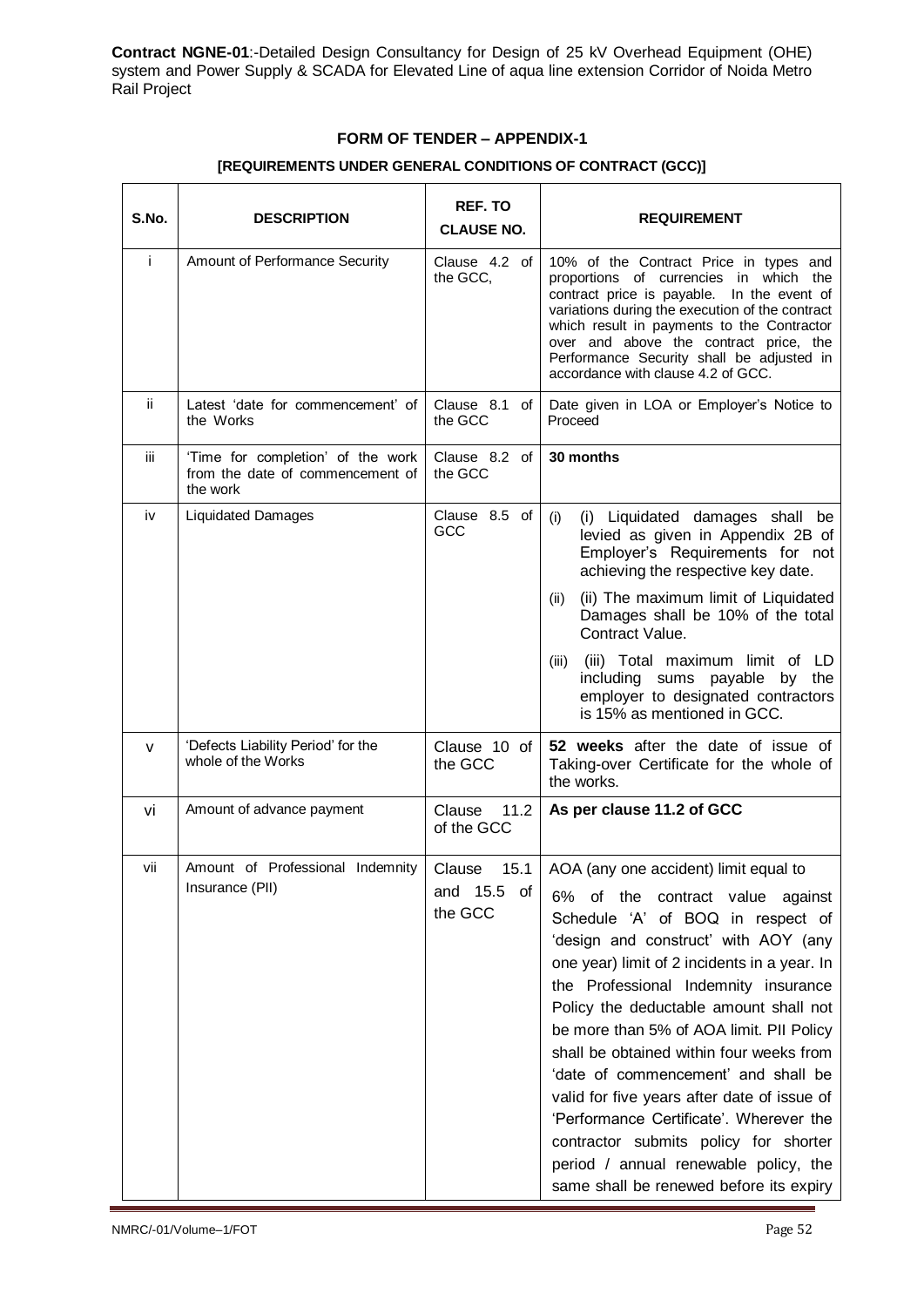### **FORM OF TENDER – APPENDIX-1**

| S.No. | <b>DESCRIPTION</b>                                                                | <b>REF. TO</b><br><b>CLAUSE NO.</b>            | <b>REQUIREMENT</b>                                                                                                                                                                                                                                                                                                                                                                                                                                                                                                                                                                                                                                      |
|-------|-----------------------------------------------------------------------------------|------------------------------------------------|---------------------------------------------------------------------------------------------------------------------------------------------------------------------------------------------------------------------------------------------------------------------------------------------------------------------------------------------------------------------------------------------------------------------------------------------------------------------------------------------------------------------------------------------------------------------------------------------------------------------------------------------------------|
| j.    | Amount of Performance Security                                                    | Clause 4.2 of<br>the GCC.                      | 10% of the Contract Price in types and<br>proportions of currencies in which the<br>contract price is payable. In the event of<br>variations during the execution of the contract<br>which result in payments to the Contractor<br>over and above the contract price, the<br>Performance Security shall be adjusted in<br>accordance with clause 4.2 of GCC.                                                                                                                                                                                                                                                                                            |
| ii.   | Latest 'date for commencement' of<br>the Works                                    | Clause 8.1 of<br>the GCC                       | Date given in LOA or Employer's Notice to<br>Proceed                                                                                                                                                                                                                                                                                                                                                                                                                                                                                                                                                                                                    |
| iij   | 'Time for completion' of the work<br>from the date of commencement of<br>the work | Clause 8.2 of<br>the GCC                       | 30 months                                                                                                                                                                                                                                                                                                                                                                                                                                                                                                                                                                                                                                               |
| iv    | <b>Liquidated Damages</b>                                                         | Clause 8.5 of<br>GCC                           | (i) Liquidated damages shall be<br>(i)<br>levied as given in Appendix 2B of<br>Employer's Requirements for not<br>achieving the respective key date.                                                                                                                                                                                                                                                                                                                                                                                                                                                                                                    |
|       |                                                                                   |                                                | (ii) The maximum limit of Liquidated<br>(ii)<br>Damages shall be 10% of the total<br>Contract Value.                                                                                                                                                                                                                                                                                                                                                                                                                                                                                                                                                    |
|       |                                                                                   |                                                | (iii) Total maximum limit of LD<br>(iii)<br>including sums payable by the<br>employer to designated contractors<br>is 15% as mentioned in GCC.                                                                                                                                                                                                                                                                                                                                                                                                                                                                                                          |
| v     | 'Defects Liability Period' for the<br>whole of the Works                          | Clause 10 of<br>the GCC                        | 52 weeks after the date of issue of<br>Taking-over Certificate for the whole of<br>the works.                                                                                                                                                                                                                                                                                                                                                                                                                                                                                                                                                           |
| vi    | Amount of advance payment                                                         | Clause<br>11.2<br>of the GCC                   | As per clause 11.2 of GCC                                                                                                                                                                                                                                                                                                                                                                                                                                                                                                                                                                                                                               |
| vii   | Amount of Professional Indemnity<br>Insurance (PII)                               | Clause<br>15.1<br>15.5<br>0f<br>and<br>the GCC | AOA (any one accident) limit equal to<br>6%<br>of the<br>contract value<br>against<br>Schedule 'A' of BOQ in respect of<br>'design and construct' with AOY (any<br>one year) limit of 2 incidents in a year. In<br>the Professional Indemnity insurance<br>Policy the deductable amount shall not<br>be more than 5% of AOA limit. PII Policy<br>shall be obtained within four weeks from<br>'date of commencement' and shall be<br>valid for five years after date of issue of<br>'Performance Certificate'. Wherever the<br>contractor submits policy for shorter<br>period / annual renewable policy, the<br>same shall be renewed before its expiry |

#### **[REQUIREMENTS UNDER GENERAL CONDITIONS OF CONTRACT (GCC)]**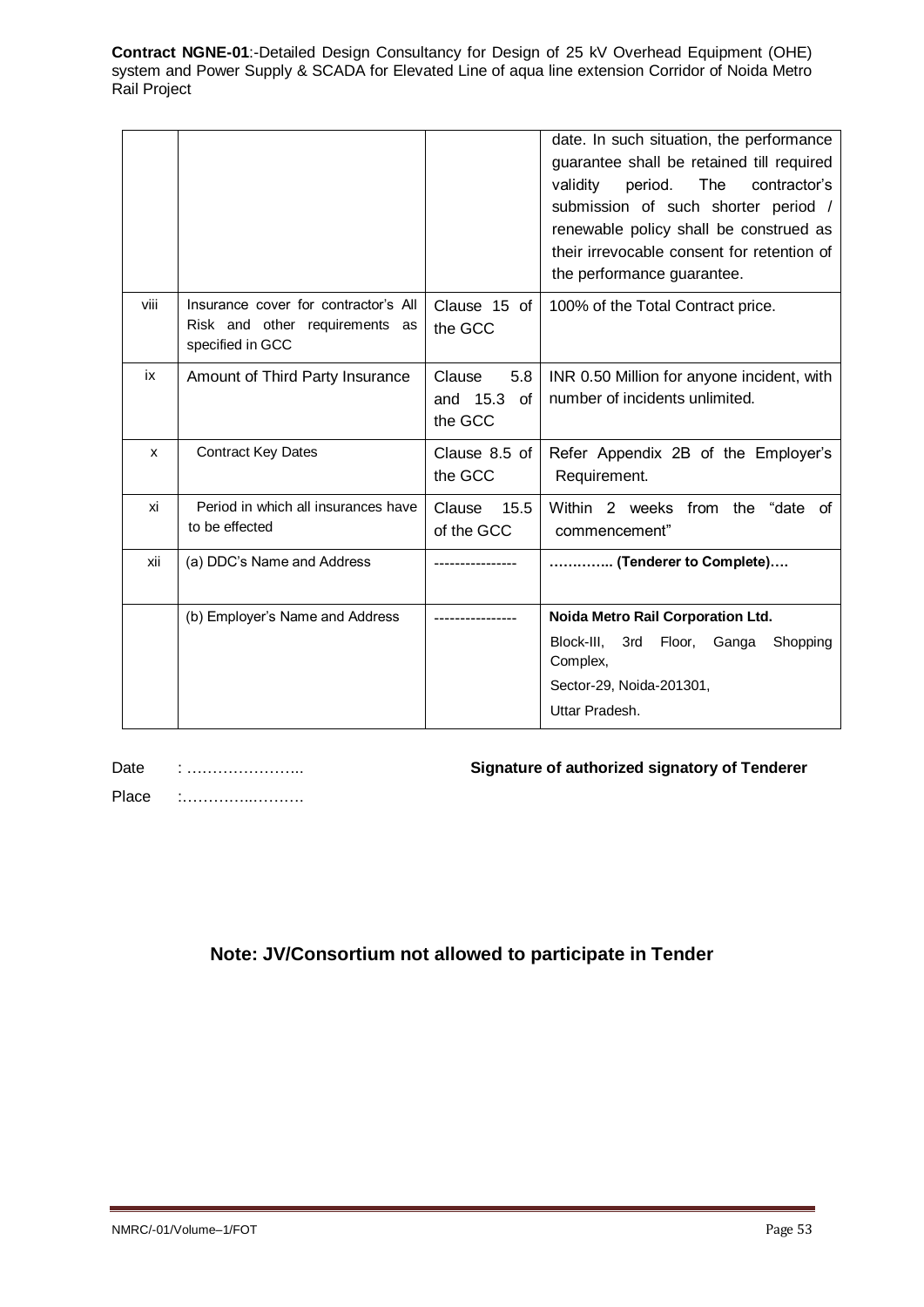|      |                                                                                            |                                            | date. In such situation, the performance<br>guarantee shall be retained till required<br>period.<br>The<br>contractor's<br>validity<br>submission of such shorter period /<br>renewable policy shall be construed as<br>their irrevocable consent for retention of<br>the performance guarantee. |
|------|--------------------------------------------------------------------------------------------|--------------------------------------------|--------------------------------------------------------------------------------------------------------------------------------------------------------------------------------------------------------------------------------------------------------------------------------------------------|
| viii | Insurance cover for contractor's All<br>Risk and other requirements as<br>specified in GCC | Clause 15 of<br>the GCC                    | 100% of the Total Contract price.                                                                                                                                                                                                                                                                |
| ix   | Amount of Third Party Insurance                                                            | Clause<br>5.8<br>and 15.3<br>of<br>the GCC | INR 0.50 Million for anyone incident, with<br>number of incidents unlimited.                                                                                                                                                                                                                     |
| x    | <b>Contract Key Dates</b>                                                                  | Clause 8.5 of<br>the GCC                   | Refer Appendix 2B of the Employer's<br>Requirement.                                                                                                                                                                                                                                              |
| xi   | Period in which all insurances have<br>to be effected                                      | 15.5<br>Clause<br>of the GCC               | Within 2 weeks from the<br>"date of<br>commencement"                                                                                                                                                                                                                                             |
| xii  | (a) DDC's Name and Address                                                                 |                                            | (Tenderer to Complete)                                                                                                                                                                                                                                                                           |
|      | (b) Employer's Name and Address                                                            |                                            | Noida Metro Rail Corporation Ltd.<br>Block-III.<br>3rd<br>Floor,<br>Ganga<br>Shopping<br>Complex,<br>Sector-29, Noida-201301,<br>Uttar Pradesh.                                                                                                                                                  |

Date : …………………… Place :…………..……….

## **Signature of authorized signatory of Tenderer**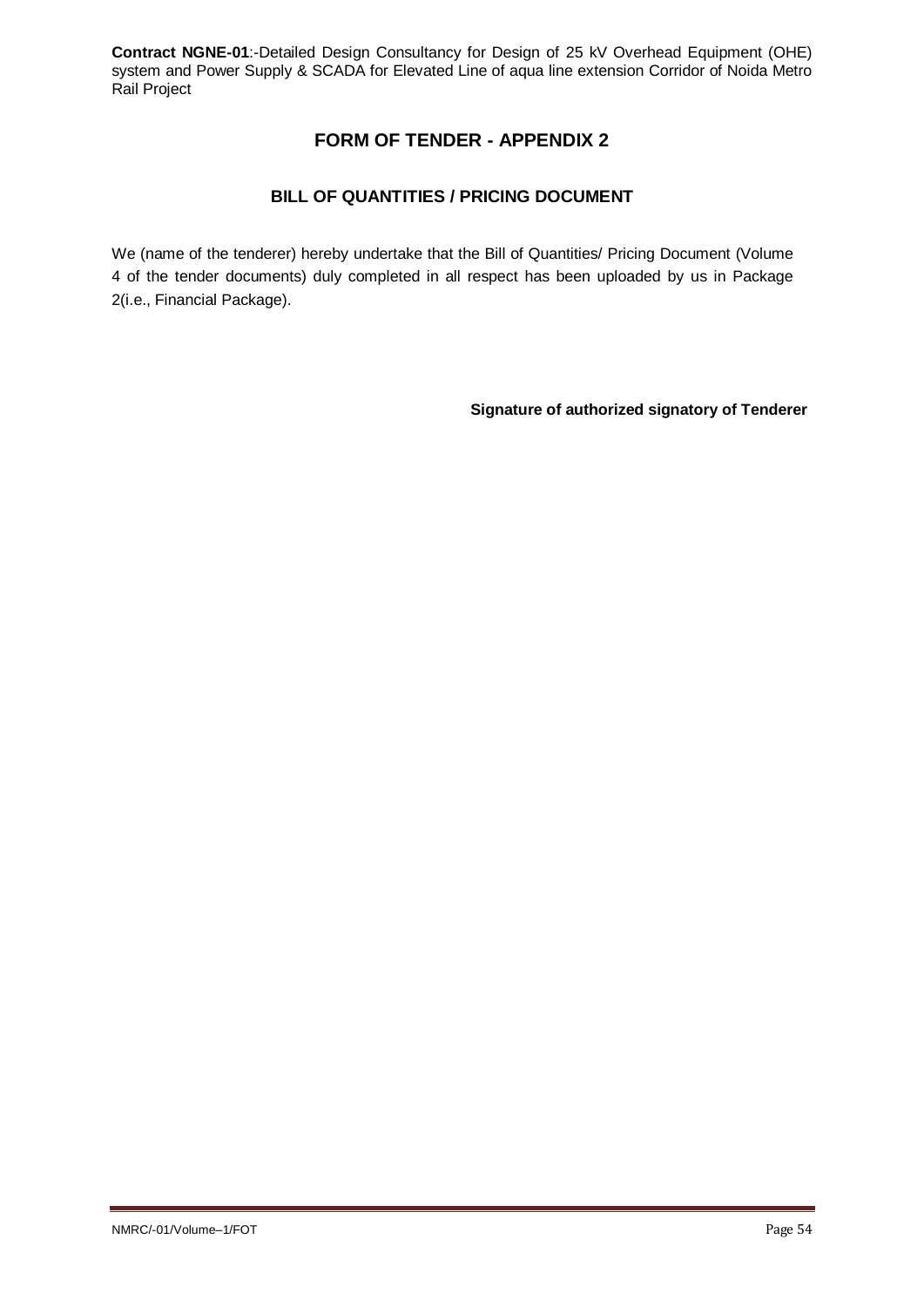# **FORM OF TENDER - APPENDIX 2**

## **BILL OF QUANTITIES / PRICING DOCUMENT**

We (name of the tenderer) hereby undertake that the Bill of Quantities/ Pricing Document (Volume 4 of the tender documents) duly completed in all respect has been uploaded by us in Package 2(i.e., Financial Package).

**Signature of authorized signatory of Tenderer**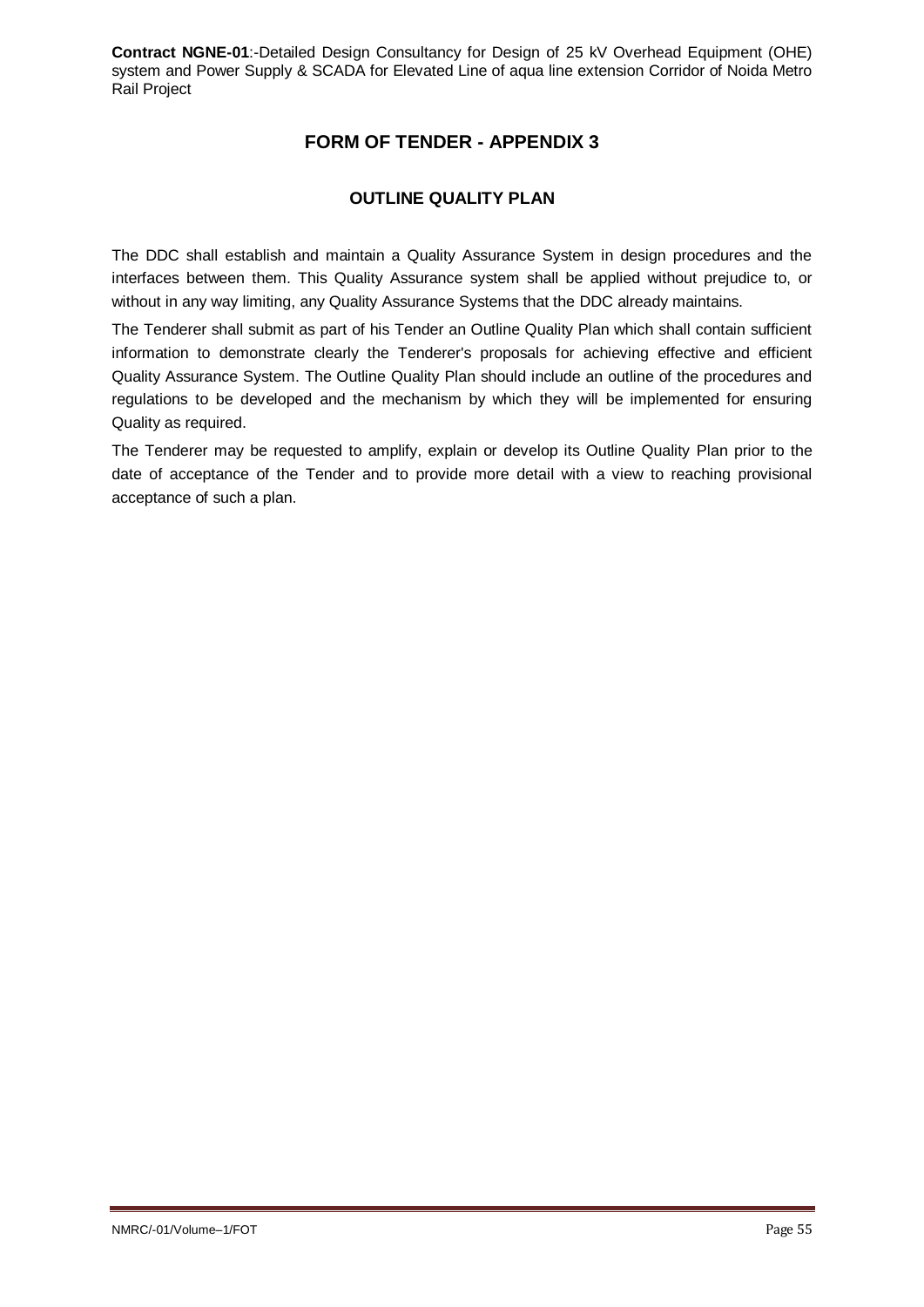# **FORM OF TENDER - APPENDIX 3**

### **OUTLINE QUALITY PLAN**

The DDC shall establish and maintain a Quality Assurance System in design procedures and the interfaces between them. This Quality Assurance system shall be applied without prejudice to, or without in any way limiting, any Quality Assurance Systems that the DDC already maintains.

The Tenderer shall submit as part of his Tender an Outline Quality Plan which shall contain sufficient information to demonstrate clearly the Tenderer's proposals for achieving effective and efficient Quality Assurance System. The Outline Quality Plan should include an outline of the procedures and regulations to be developed and the mechanism by which they will be implemented for ensuring Quality as required.

The Tenderer may be requested to amplify, explain or develop its Outline Quality Plan prior to the date of acceptance of the Tender and to provide more detail with a view to reaching provisional acceptance of such a plan.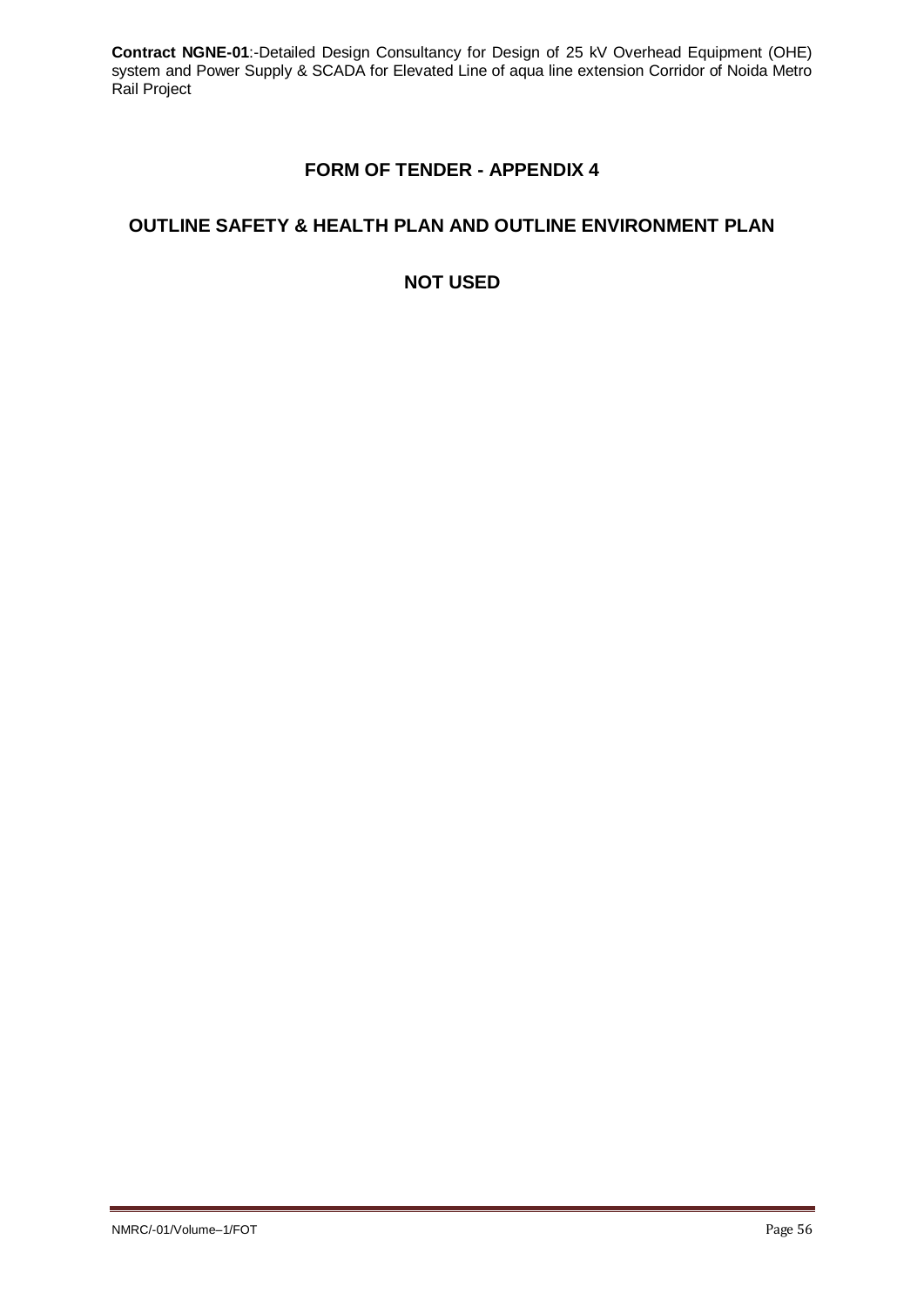# **FORM OF TENDER - APPENDIX 4**

# **OUTLINE SAFETY & HEALTH PLAN AND OUTLINE ENVIRONMENT PLAN**

**NOT USED**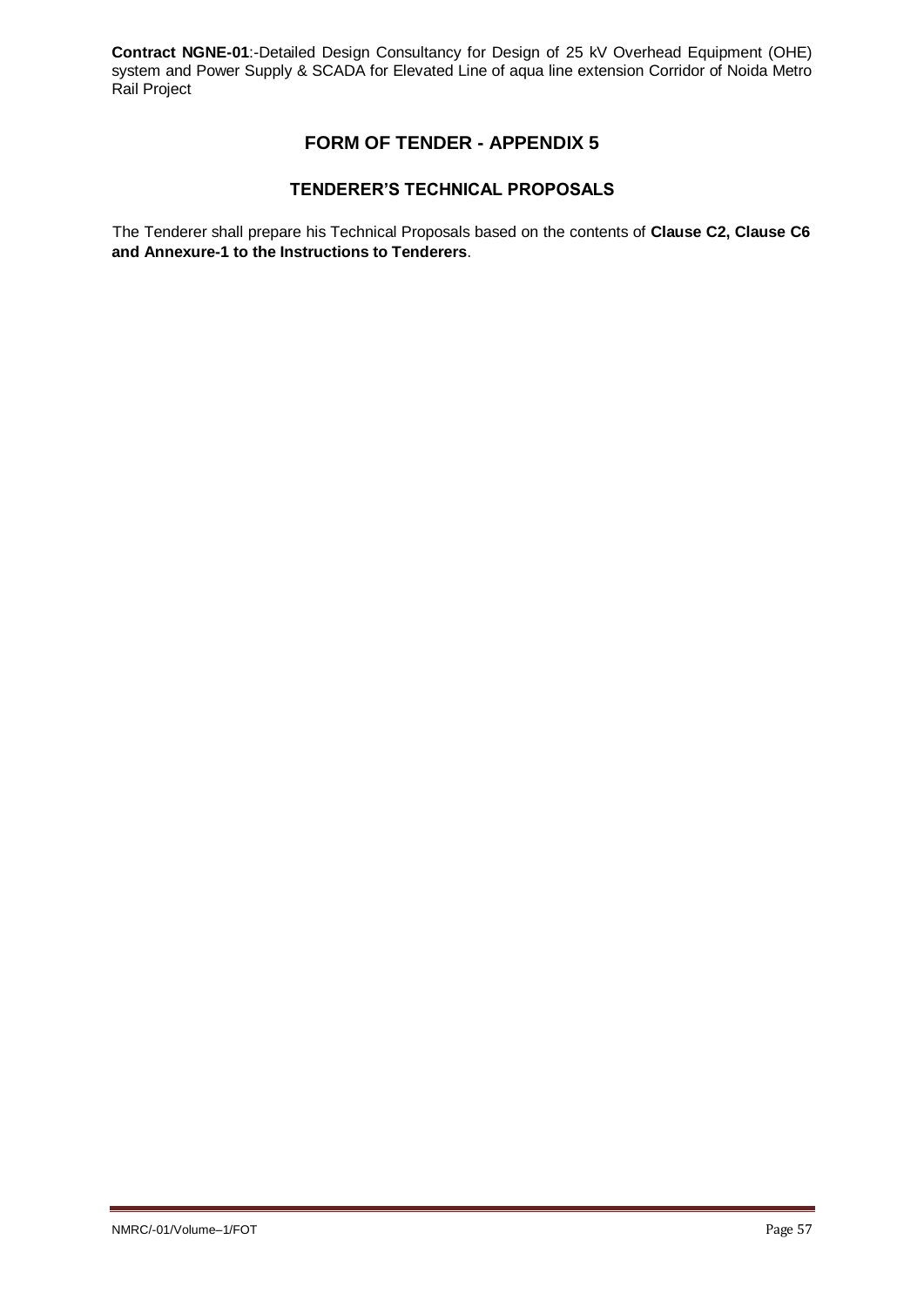# **FORM OF TENDER - APPENDIX 5**

### **TENDERER'S TECHNICAL PROPOSALS**

The Tenderer shall prepare his Technical Proposals based on the contents of **Clause C2, Clause C6 and Annexure-1 to the Instructions to Tenderers**.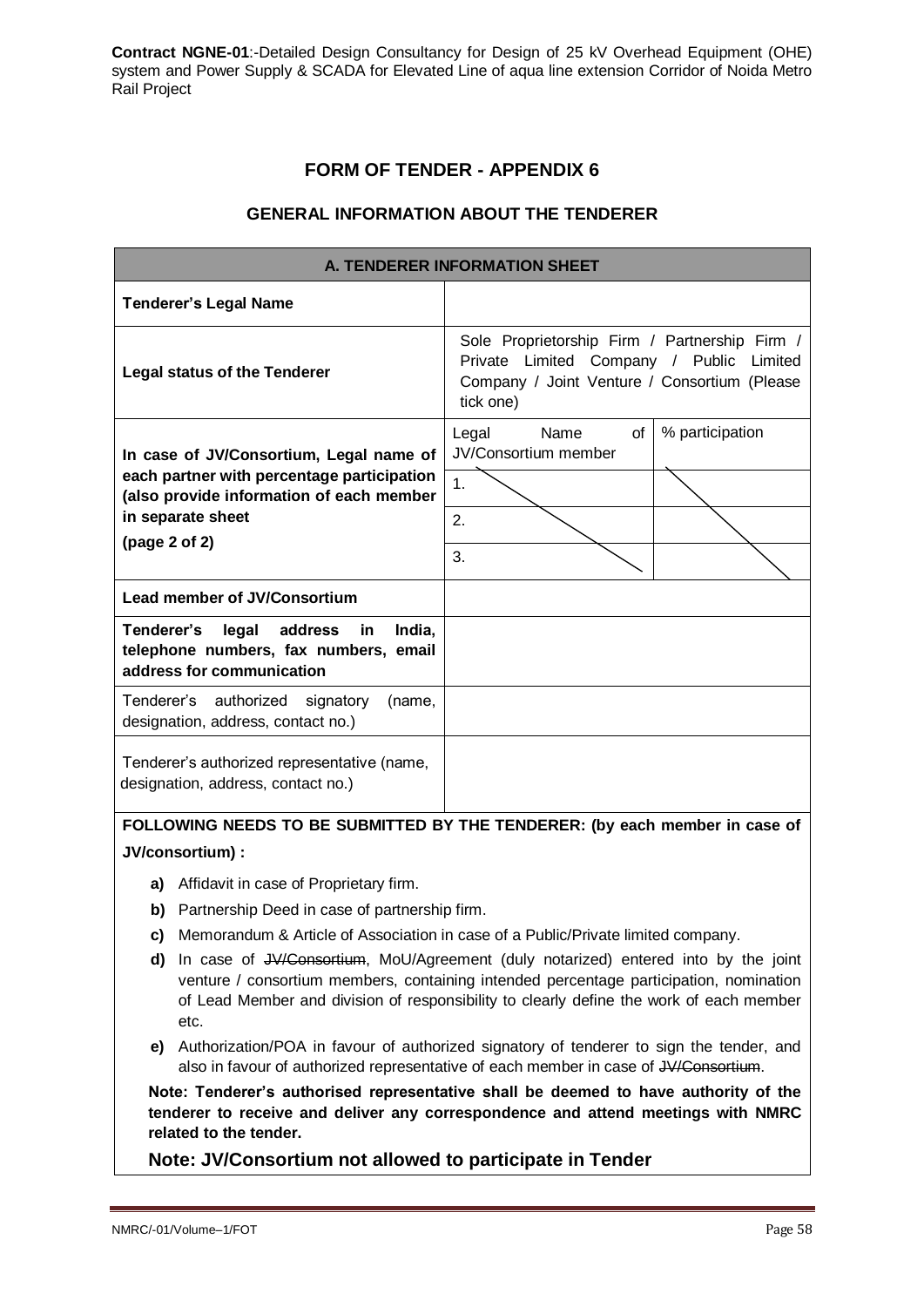## **FORM OF TENDER - APPENDIX 6**

### **GENERAL INFORMATION ABOUT THE TENDERER**

| <b>A. TENDERER INFORMATION SHEET</b>                                                                           |                                             |                                                                                                                                           |  |  |
|----------------------------------------------------------------------------------------------------------------|---------------------------------------------|-------------------------------------------------------------------------------------------------------------------------------------------|--|--|
| <b>Tenderer's Legal Name</b>                                                                                   |                                             |                                                                                                                                           |  |  |
| <b>Legal status of the Tenderer</b>                                                                            | tick one)                                   | Sole Proprietorship Firm / Partnership Firm /<br>Private Limited Company / Public Limited<br>Company / Joint Venture / Consortium (Please |  |  |
| In case of JV/Consortium, Legal name of                                                                        | Name<br>of<br>Legal<br>JV/Consortium member | % participation                                                                                                                           |  |  |
| each partner with percentage participation<br>(also provide information of each member                         | 1.                                          |                                                                                                                                           |  |  |
| in separate sheet<br>(page 2 of 2)                                                                             | 2.                                          |                                                                                                                                           |  |  |
|                                                                                                                | 3.                                          |                                                                                                                                           |  |  |
| <b>Lead member of JV/Consortium</b>                                                                            |                                             |                                                                                                                                           |  |  |
| Tenderer's<br>legal address in<br>India,<br>telephone numbers, fax numbers, email<br>address for communication |                                             |                                                                                                                                           |  |  |
| Tenderer's authorized signatory<br>(name,<br>designation, address, contact no.)                                |                                             |                                                                                                                                           |  |  |
| Tenderer's authorized representative (name,<br>designation, address, contact no.)                              |                                             |                                                                                                                                           |  |  |

**FOLLOWING NEEDS TO BE SUBMITTED BY THE TENDERER: (by each member in case of JV/consortium) :**

- **a)** Affidavit in case of Proprietary firm.
- **b)** Partnership Deed in case of partnership firm.
- **c)** Memorandum & Article of Association in case of a Public/Private limited company.
- **d)** In case of JV/Consortium, MoU/Agreement (duly notarized) entered into by the joint venture / consortium members, containing intended percentage participation, nomination of Lead Member and division of responsibility to clearly define the work of each member etc.
- **e)** Authorization/POA in favour of authorized signatory of tenderer to sign the tender, and also in favour of authorized representative of each member in case of JV/Consortium.

**Note: Tenderer's authorised representative shall be deemed to have authority of the tenderer to receive and deliver any correspondence and attend meetings with NMRC related to the tender.**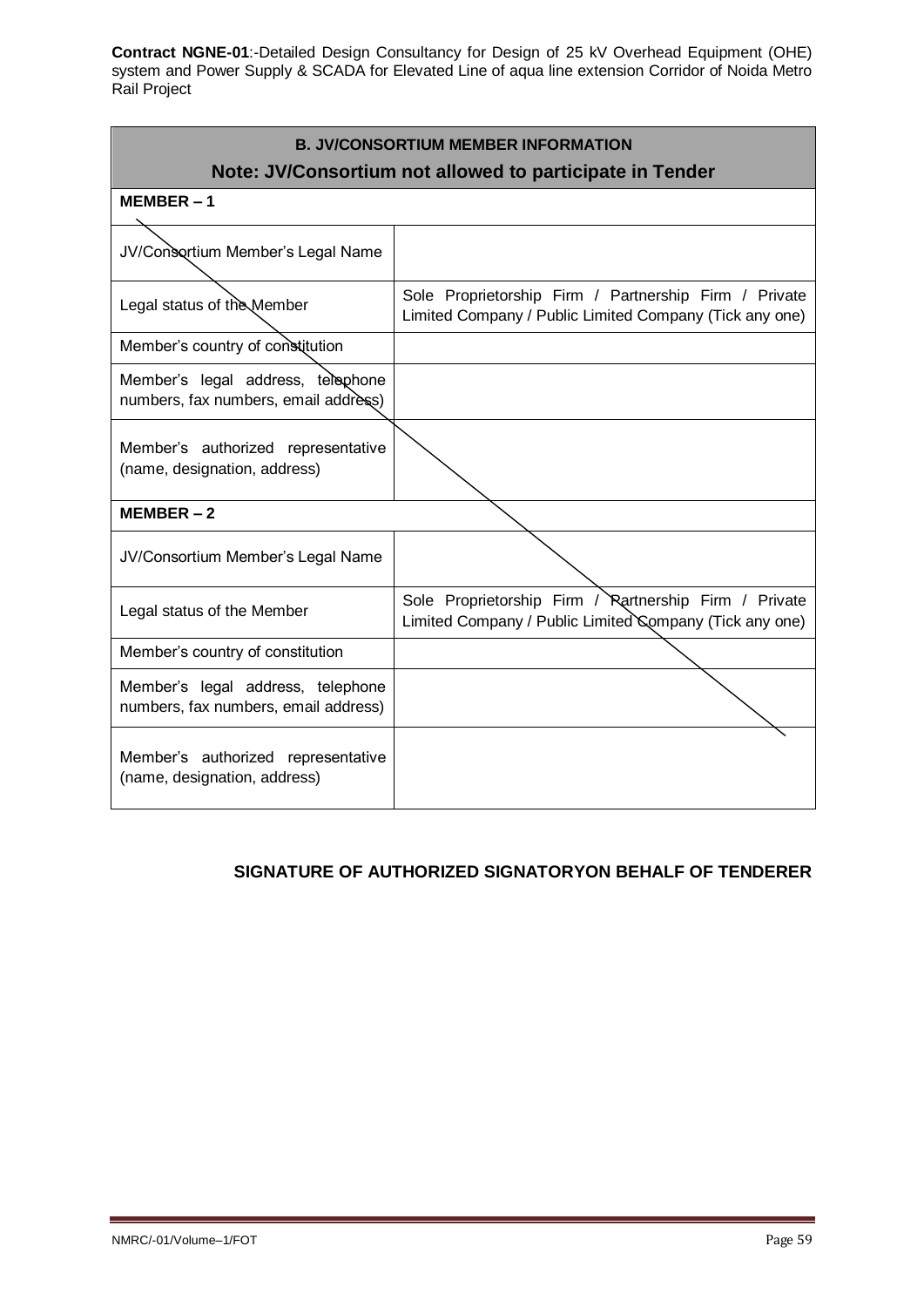| <b>B. JV/CONSORTIUM MEMBER INFORMATION</b><br>Note: JV/Consortium not allowed to participate in Tender |                                                                                                                  |  |  |  |
|--------------------------------------------------------------------------------------------------------|------------------------------------------------------------------------------------------------------------------|--|--|--|
| $MEMBER-1$                                                                                             |                                                                                                                  |  |  |  |
| JV/Consortium Member's Legal Name                                                                      |                                                                                                                  |  |  |  |
| Legal status of the Member                                                                             | Sole Proprietorship Firm / Partnership Firm / Private<br>Limited Company / Public Limited Company (Tick any one) |  |  |  |
| Member's country of constitution                                                                       |                                                                                                                  |  |  |  |
| Member's legal address, telephone<br>numbers, fax numbers, email address)                              |                                                                                                                  |  |  |  |
| Member's authorized representative<br>(name, designation, address)                                     |                                                                                                                  |  |  |  |
| $MEMBER-2$                                                                                             |                                                                                                                  |  |  |  |
| JV/Consortium Member's Legal Name                                                                      |                                                                                                                  |  |  |  |
| Legal status of the Member                                                                             | Sole Proprietorship Firm / Rartnership Firm / Private<br>Limited Company / Public Limited Company (Tick any one) |  |  |  |
| Member's country of constitution                                                                       |                                                                                                                  |  |  |  |
| Member's legal address, telephone<br>numbers, fax numbers, email address)                              |                                                                                                                  |  |  |  |
| Member's authorized representative<br>(name, designation, address)                                     |                                                                                                                  |  |  |  |

# **SIGNATURE OF AUTHORIZED SIGNATORYON BEHALF OF TENDERER**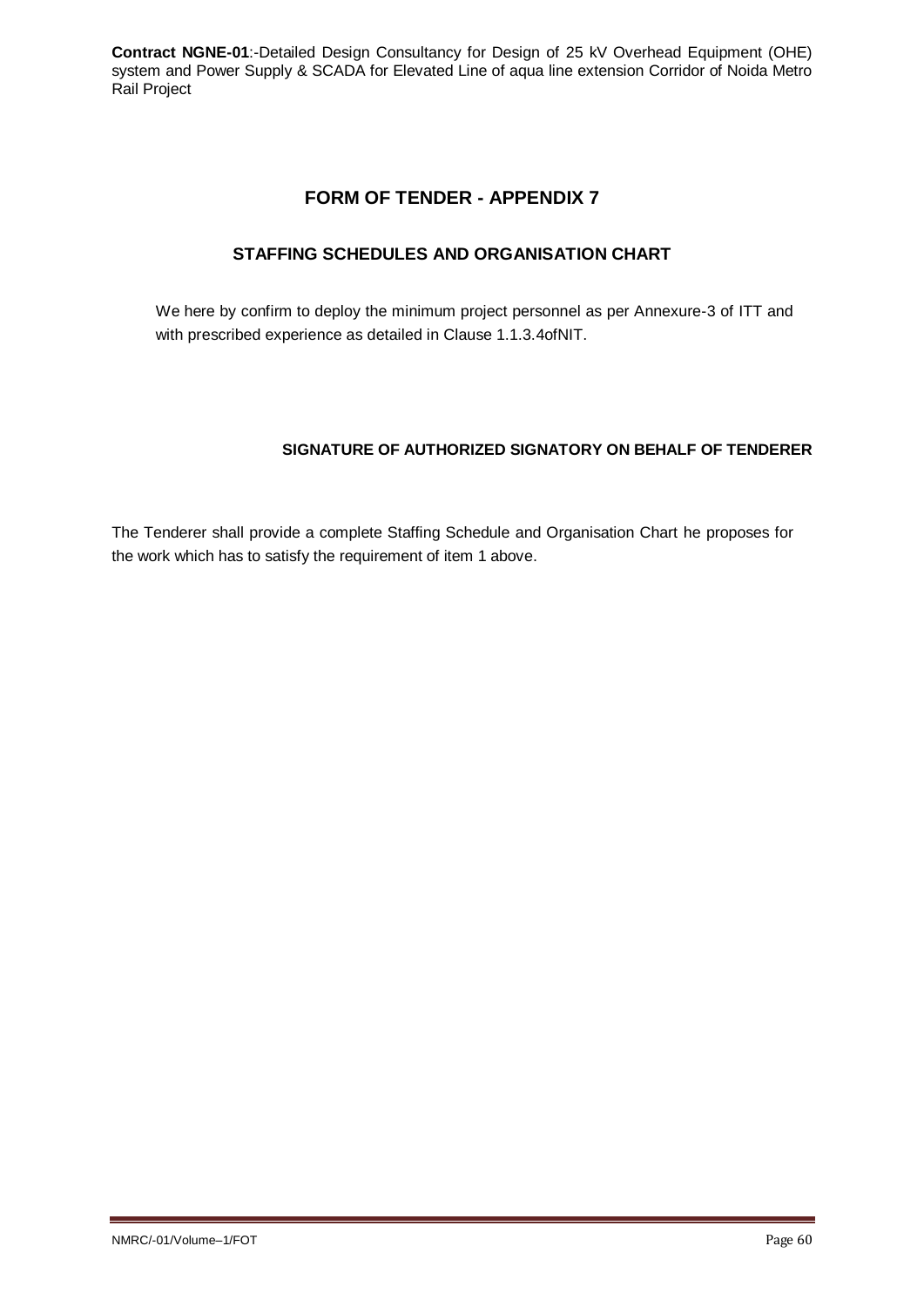## **FORM OF TENDER - APPENDIX 7**

### **STAFFING SCHEDULES AND ORGANISATION CHART**

We here by confirm to deploy the minimum project personnel as per Annexure-3 of ITT and with prescribed experience as detailed in Clause 1.1.3.4ofNIT.

### **SIGNATURE OF AUTHORIZED SIGNATORY ON BEHALF OF TENDERER**

The Tenderer shall provide a complete Staffing Schedule and Organisation Chart he proposes for the work which has to satisfy the requirement of item 1 above.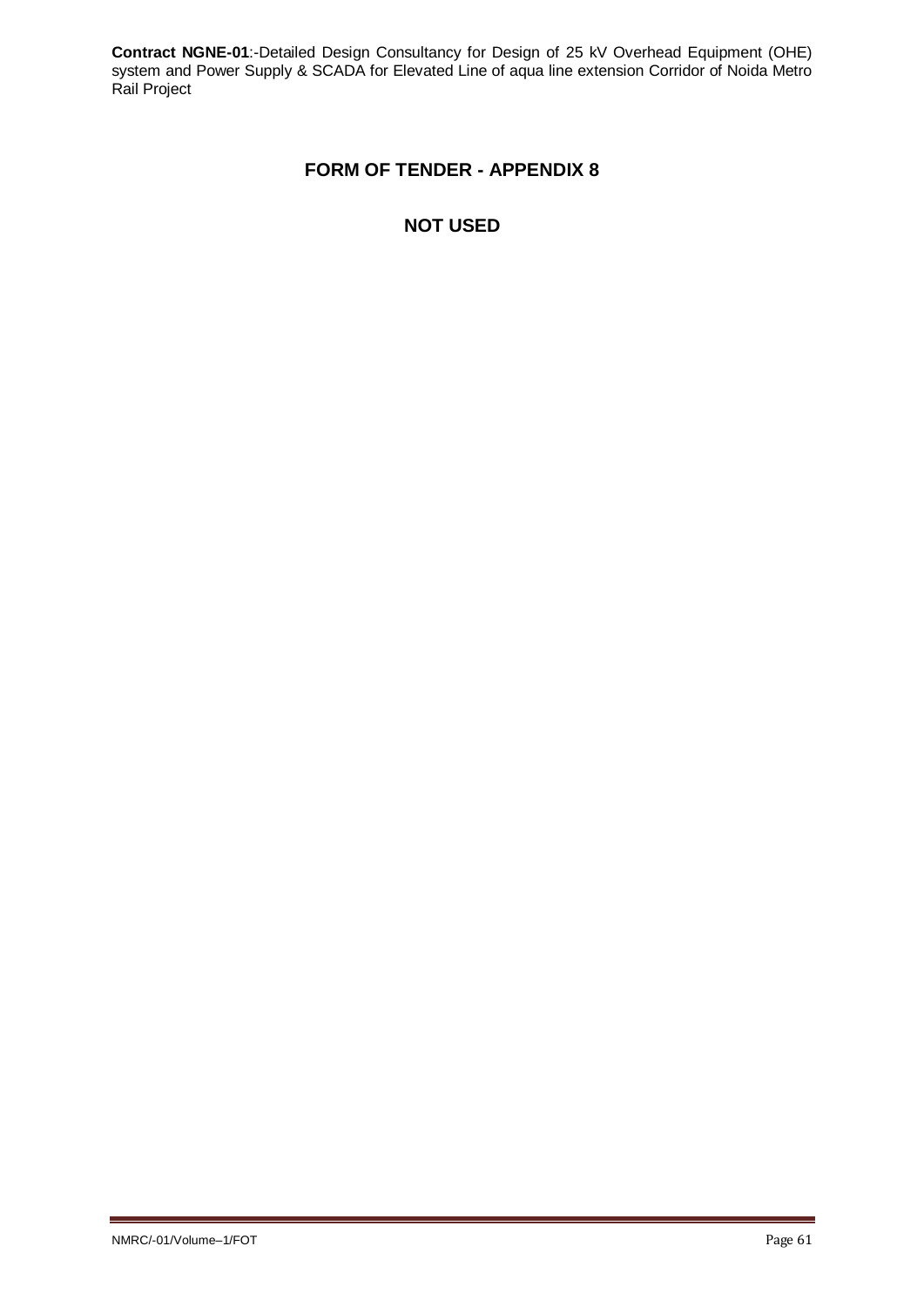# **FORM OF TENDER - APPENDIX 8**

# **NOT USED**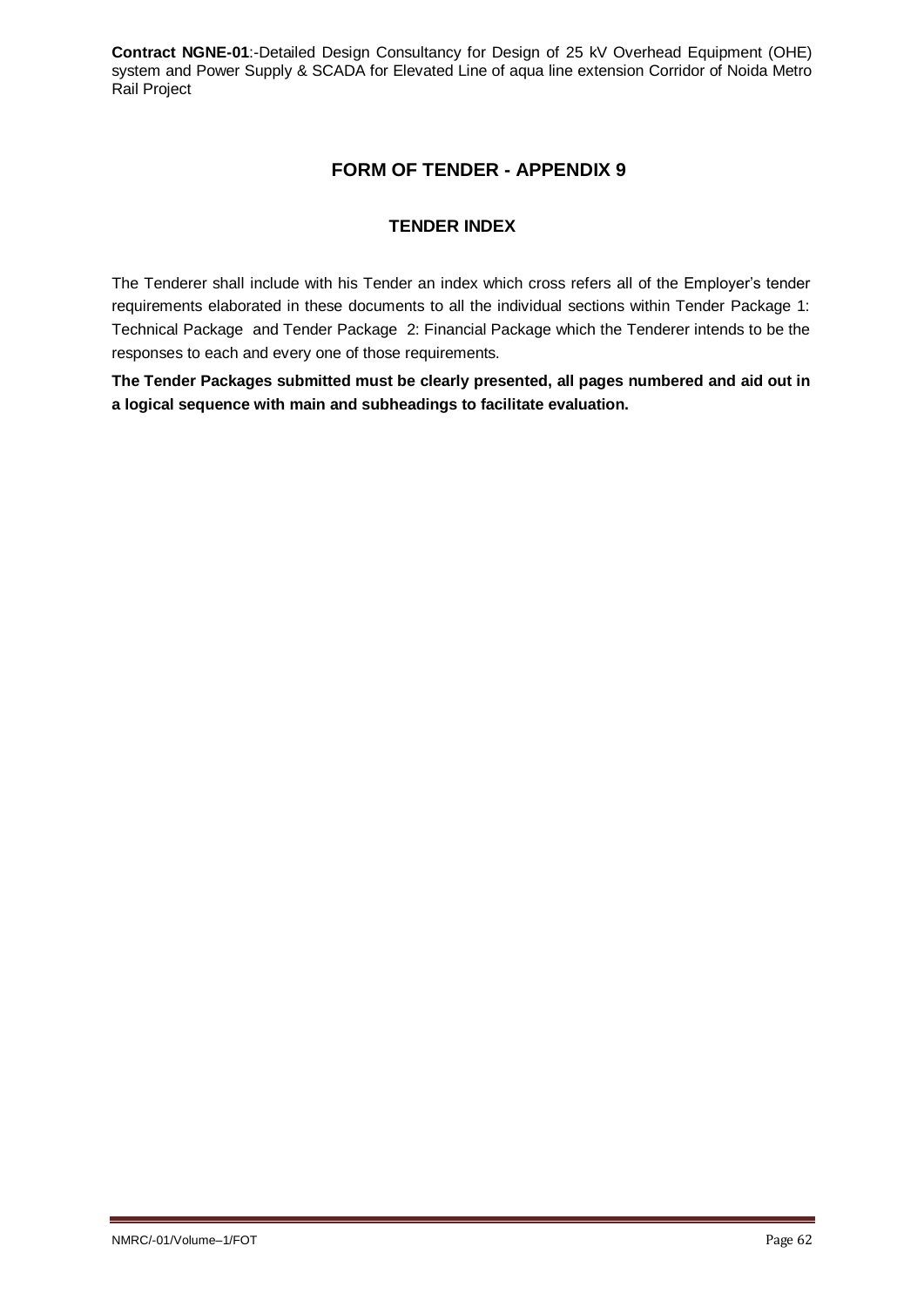# **FORM OF TENDER - APPENDIX 9**

## **TENDER INDEX**

The Tenderer shall include with his Tender an index which cross refers all of the Employer's tender requirements elaborated in these documents to all the individual sections within Tender Package 1: Technical Package and Tender Package 2: Financial Package which the Tenderer intends to be the responses to each and every one of those requirements.

**The Tender Packages submitted must be clearly presented, all pages numbered and aid out in a logical sequence with main and subheadings to facilitate evaluation.**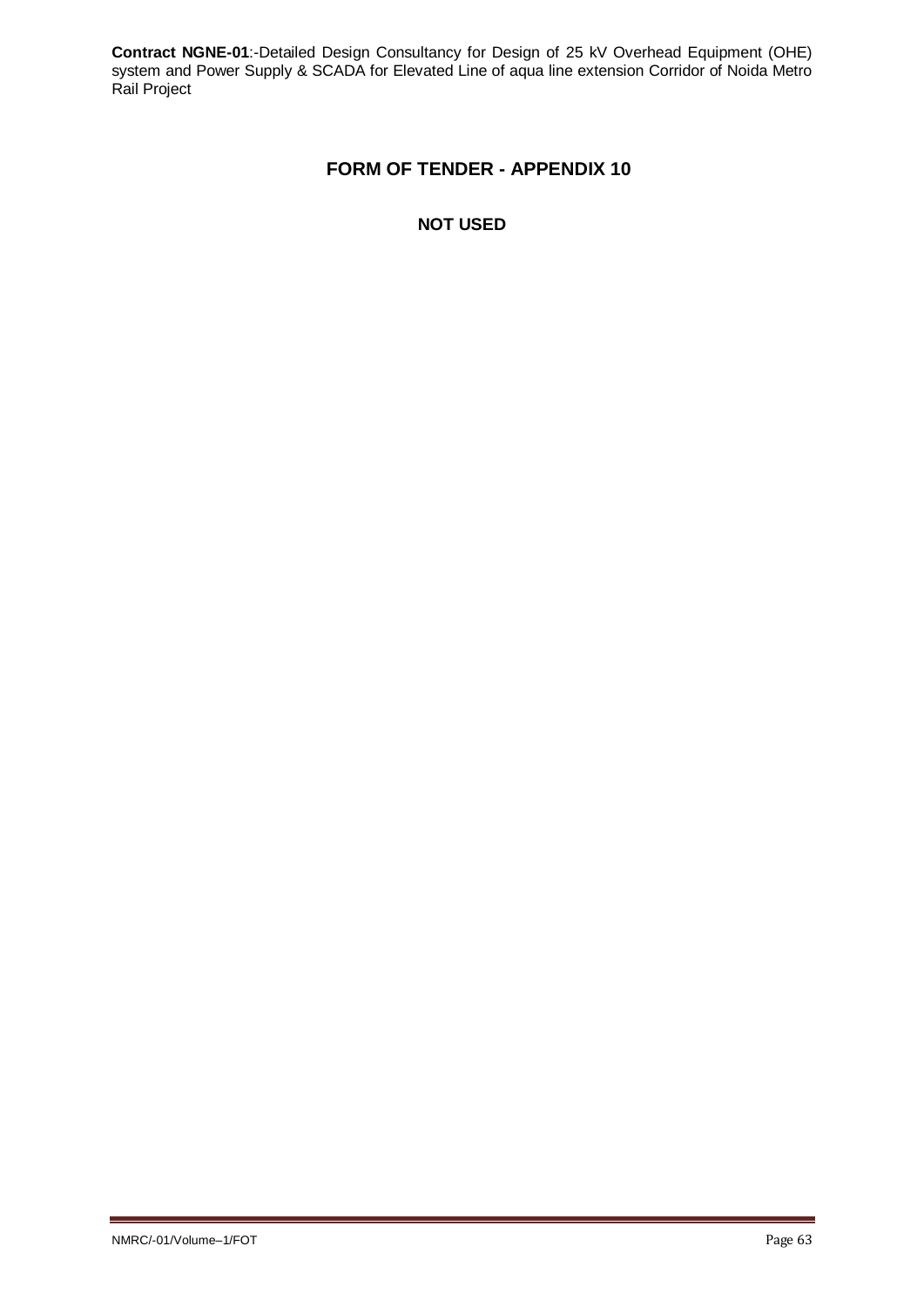# **FORM OF TENDER - APPENDIX 10**

## **NOT USED**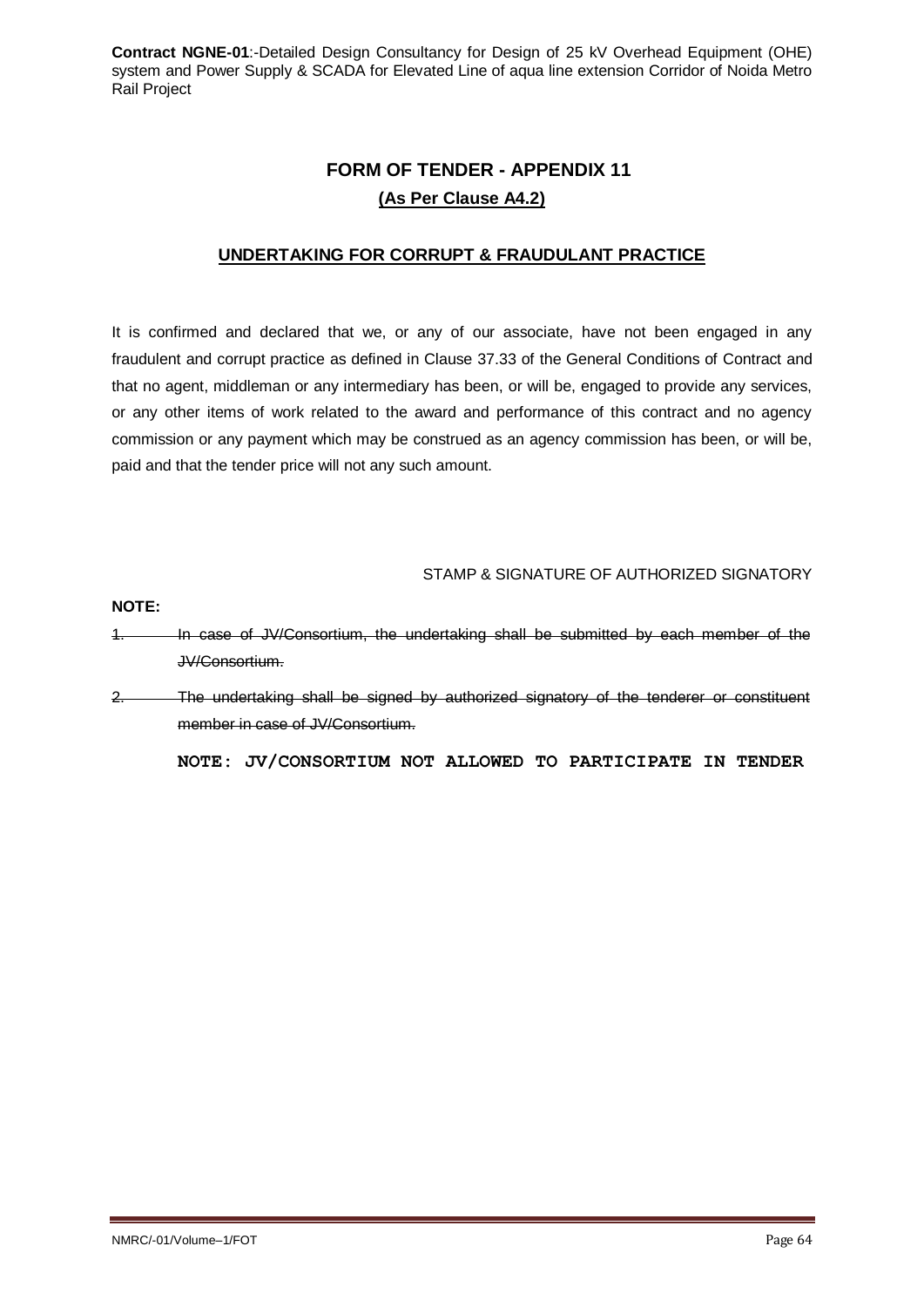# **FORM OF TENDER - APPENDIX 11 (As Per Clause A4.2)**

## **UNDERTAKING FOR CORRUPT & FRAUDULANT PRACTICE**

It is confirmed and declared that we, or any of our associate, have not been engaged in any fraudulent and corrupt practice as defined in Clause 37.33 of the General Conditions of Contract and that no agent, middleman or any intermediary has been, or will be, engaged to provide any services, or any other items of work related to the award and performance of this contract and no agency commission or any payment which may be construed as an agency commission has been, or will be, paid and that the tender price will not any such amount.

STAMP & SIGNATURE OF AUTHORIZED SIGNATORY

**NOTE:**

1. In case of JV/Consortium, the undertaking shall be submitted by each member of the JV/Consortium.

2. The undertaking shall be signed by authorized signatory of the tenderer or constituent member in case of JV/Consortium.

**NOTE: JV/CONSORTIUM NOT ALLOWED TO PARTICIPATE IN TENDER**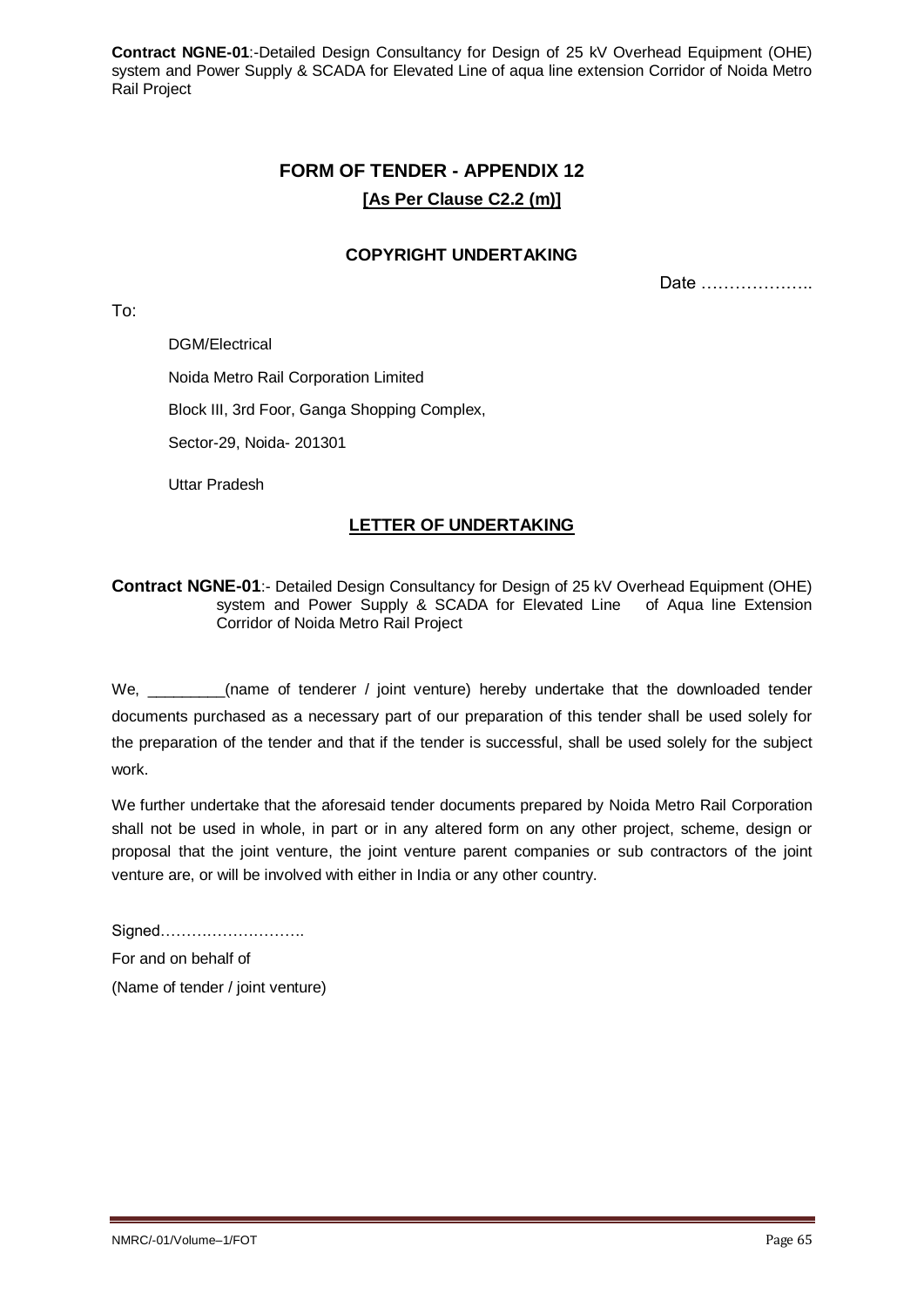# **FORM OF TENDER - APPENDIX 12 [As Per Clause C2.2 (m)]**

### **COPYRIGHT UNDERTAKING**

Date ………………..

DGM/Electrical

To:

Noida Metro Rail Corporation Limited

Block III, 3rd Foor, Ganga Shopping Complex,

Sector-29, Noida- 201301

Uttar Pradesh

## **LETTER OF UNDERTAKING**

### **Contract NGNE-01**:- Detailed Design Consultancy for Design of 25 kV Overhead Equipment (OHE) system and Power Supply & SCADA for Elevated Line of Aqua line Extension Corridor of Noida Metro Rail Project

We, and the of tenderer / joint venture) hereby undertake that the downloaded tender documents purchased as a necessary part of our preparation of this tender shall be used solely for the preparation of the tender and that if the tender is successful, shall be used solely for the subject work.

We further undertake that the aforesaid tender documents prepared by Noida Metro Rail Corporation shall not be used in whole, in part or in any altered form on any other project, scheme, design or proposal that the joint venture, the joint venture parent companies or sub contractors of the joint venture are, or will be involved with either in India or any other country.

Signed………………………. For and on behalf of (Name of tender / joint venture)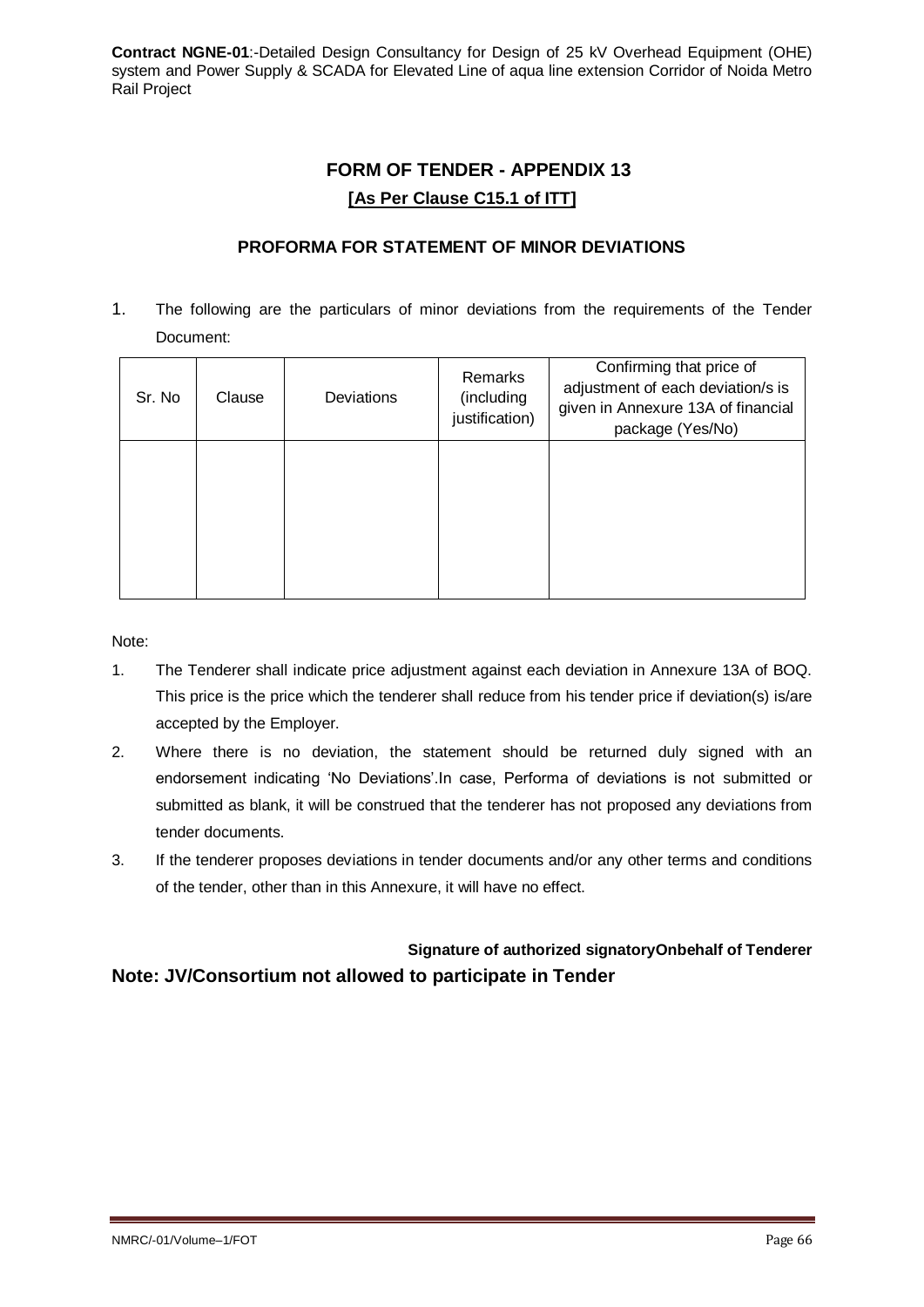# **FORM OF TENDER - APPENDIX 13 [As Per Clause C15.1 of ITT]**

## **PROFORMA FOR STATEMENT OF MINOR DEVIATIONS**

1. The following are the particulars of minor deviations from the requirements of the Tender Document:

| Sr. No | Clause | Deviations | Remarks<br>(including<br>justification) | Confirming that price of<br>adjustment of each deviation/s is<br>given in Annexure 13A of financial<br>package (Yes/No) |
|--------|--------|------------|-----------------------------------------|-------------------------------------------------------------------------------------------------------------------------|
|        |        |            |                                         |                                                                                                                         |

Note:

- 1. The Tenderer shall indicate price adjustment against each deviation in Annexure 13A of BOQ. This price is the price which the tenderer shall reduce from his tender price if deviation(s) is/are accepted by the Employer.
- 2. Where there is no deviation, the statement should be returned duly signed with an endorsement indicating 'No Deviations'.In case, Performa of deviations is not submitted or submitted as blank, it will be construed that the tenderer has not proposed any deviations from tender documents.
- 3. If the tenderer proposes deviations in tender documents and/or any other terms and conditions of the tender, other than in this Annexure, it will have no effect.

# **Signature of authorized signatoryOnbehalf of Tenderer Note: JV/Consortium not allowed to participate in Tender**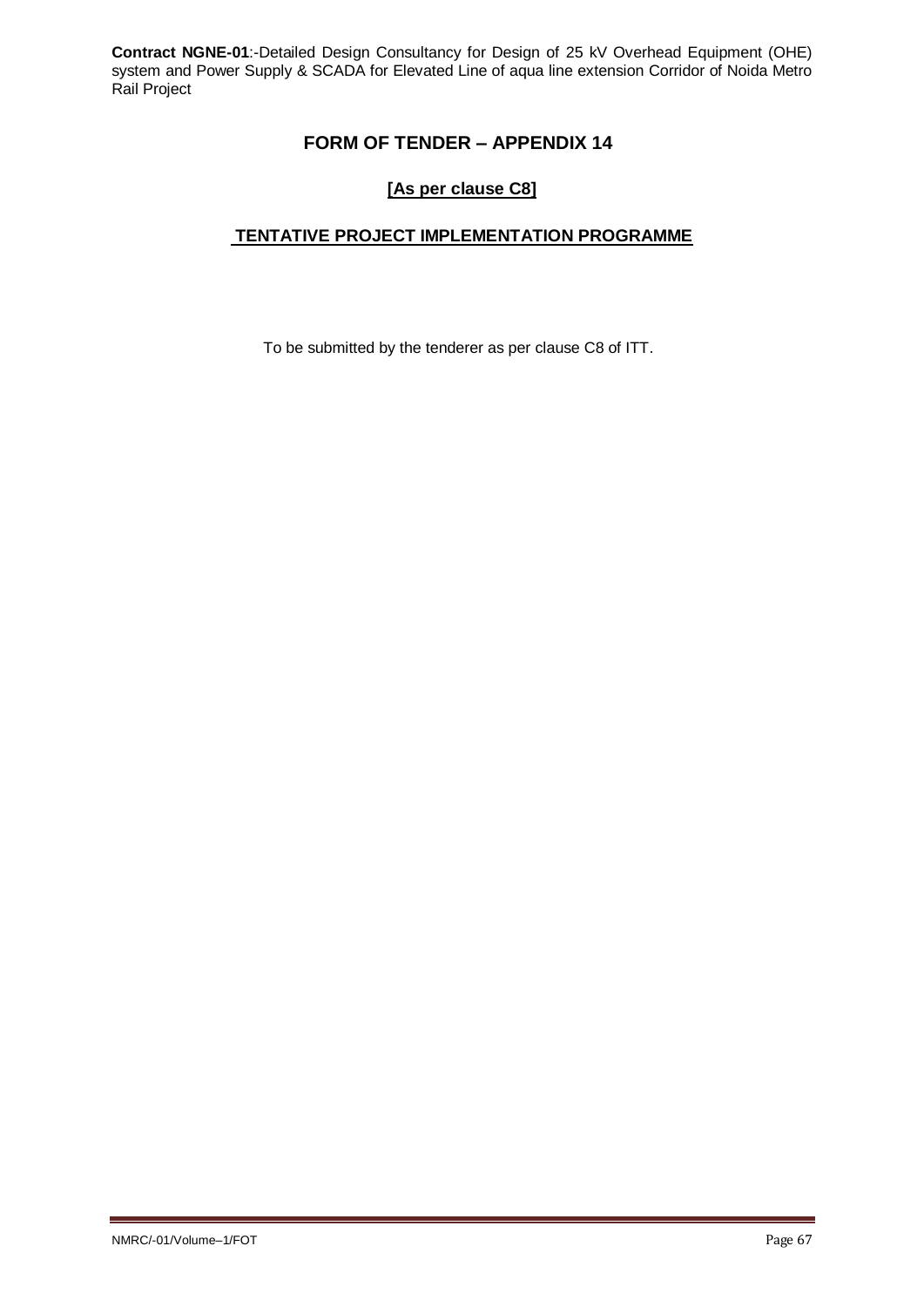# **FORM OF TENDER – APPENDIX 14**

## **[As per clause C8]**

## **TENTATIVE PROJECT IMPLEMENTATION PROGRAMME**

To be submitted by the tenderer as per clause C8 of ITT.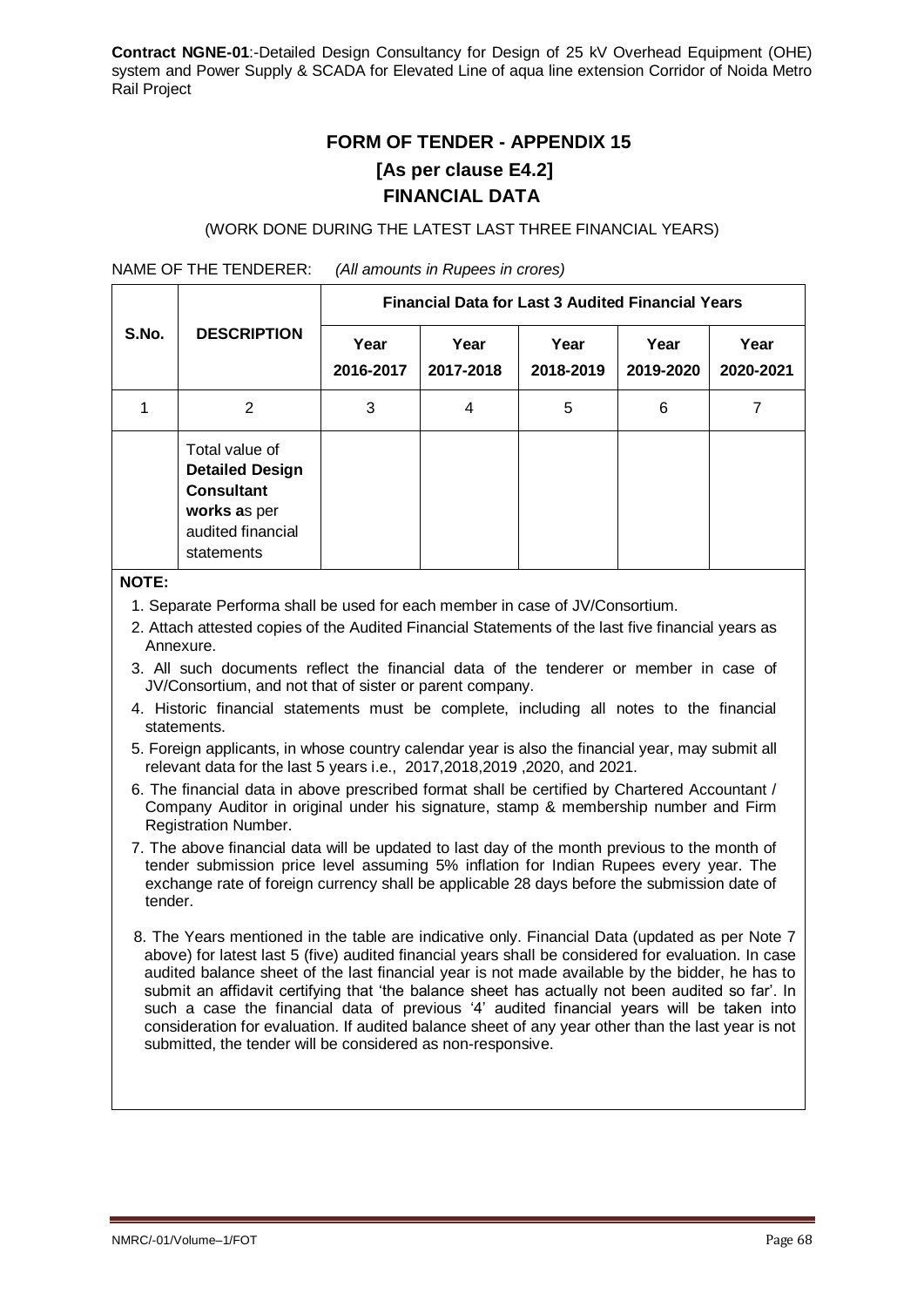# **FORM OF TENDER - APPENDIX 15 [As per clause E4.2] FINANCIAL DATA**

### (WORK DONE DURING THE LATEST LAST THREE FINANCIAL YEARS)

NAME OF THE TENDERER: *(All amounts in Rupees in crores)*

|       | <b>DESCRIPTION</b>                                                                                               | <b>Financial Data for Last 3 Audited Financial Years</b> |                   |                   |                   |                   |  |
|-------|------------------------------------------------------------------------------------------------------------------|----------------------------------------------------------|-------------------|-------------------|-------------------|-------------------|--|
| S.No. |                                                                                                                  | Year<br>2016-2017                                        | Year<br>2017-2018 | Year<br>2018-2019 | Year<br>2019-2020 | Year<br>2020-2021 |  |
|       | 2                                                                                                                | 3                                                        | 4                 | 5                 | 6                 |                   |  |
|       | Total value of<br><b>Detailed Design</b><br><b>Consultant</b><br>works as per<br>audited financial<br>statements |                                                          |                   |                   |                   |                   |  |

#### **NOTE:**

- 1. Separate Performa shall be used for each member in case of JV/Consortium.
- 2. Attach attested copies of the Audited Financial Statements of the last five financial years as Annexure.
- 3. All such documents reflect the financial data of the tenderer or member in case of JV/Consortium, and not that of sister or parent company.
- 4. Historic financial statements must be complete, including all notes to the financial statements.
- 5. Foreign applicants, in whose country calendar year is also the financial year, may submit all relevant data for the last 5 years i.e., 2017,2018,2019 ,2020, and 2021.
- 6. The financial data in above prescribed format shall be certified by Chartered Accountant / Company Auditor in original under his signature, stamp & membership number and Firm Registration Number.
- 7. The above financial data will be updated to last day of the month previous to the month of tender submission price level assuming 5% inflation for Indian Rupees every year. The exchange rate of foreign currency shall be applicable 28 days before the submission date of tender.
- 8. The Years mentioned in the table are indicative only. Financial Data (updated as per Note 7 above) for latest last 5 (five) audited financial years shall be considered for evaluation. In case audited balance sheet of the last financial year is not made available by the bidder, he has to submit an affidavit certifying that 'the balance sheet has actually not been audited so far'. In such a case the financial data of previous '4' audited financial years will be taken into consideration for evaluation. If audited balance sheet of any year other than the last year is not submitted, the tender will be considered as non-responsive.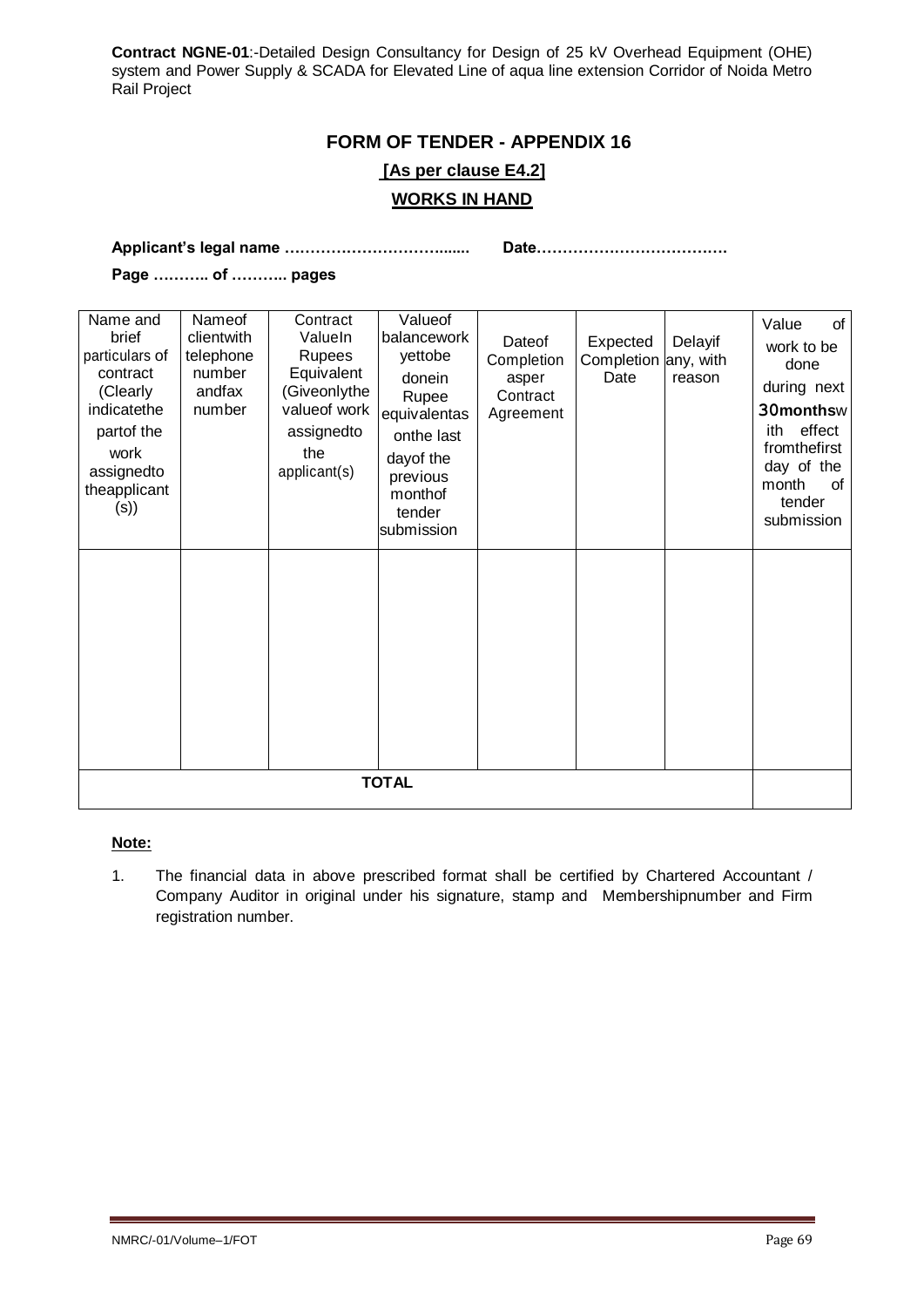# **FORM OF TENDER - APPENDIX 16 [As per clause E4.2] WORKS IN HAND**

**Applicant's legal name …………………………....... Date……………………………….**

**Page ……….. of ……….. pages**

| Name and<br>brief<br>particulars of<br>contract<br>(Clearly<br>indicatethe<br>partof the<br>work<br>assignedto<br>theapplicant<br>(s) | Nameof<br>clientwith<br>telephone<br>number<br>andfax<br>number | Contract<br>ValueIn<br><b>Rupees</b><br>Equivalent<br>(Giveonlythe<br>valueof work<br>assignedto<br>the<br>applicant(s) | Valueof<br>balancework<br>yettobe<br>donein<br>Rupee<br>equivalentas<br>onthe last<br>dayof the<br>previous<br>monthof<br>tender<br>submission | Dateof<br>Completion<br>asper<br>Contract<br>Agreement | Expected<br>Completion<br>Date | Delayif<br>any, with<br>reason | Value<br>of<br>work to be<br>done<br>during next<br>30monthsw<br>effect<br>ith<br>fromthefirst<br>day of the<br>month<br>0f<br>tender<br>submission |
|---------------------------------------------------------------------------------------------------------------------------------------|-----------------------------------------------------------------|-------------------------------------------------------------------------------------------------------------------------|------------------------------------------------------------------------------------------------------------------------------------------------|--------------------------------------------------------|--------------------------------|--------------------------------|-----------------------------------------------------------------------------------------------------------------------------------------------------|
|                                                                                                                                       |                                                                 |                                                                                                                         | <b>TOTAL</b>                                                                                                                                   |                                                        |                                |                                |                                                                                                                                                     |
|                                                                                                                                       |                                                                 |                                                                                                                         |                                                                                                                                                |                                                        |                                |                                |                                                                                                                                                     |

### **Note:**

1. The financial data in above prescribed format shall be certified by Chartered Accountant / Company Auditor in original under his signature, stamp and Membershipnumber and Firm registration number.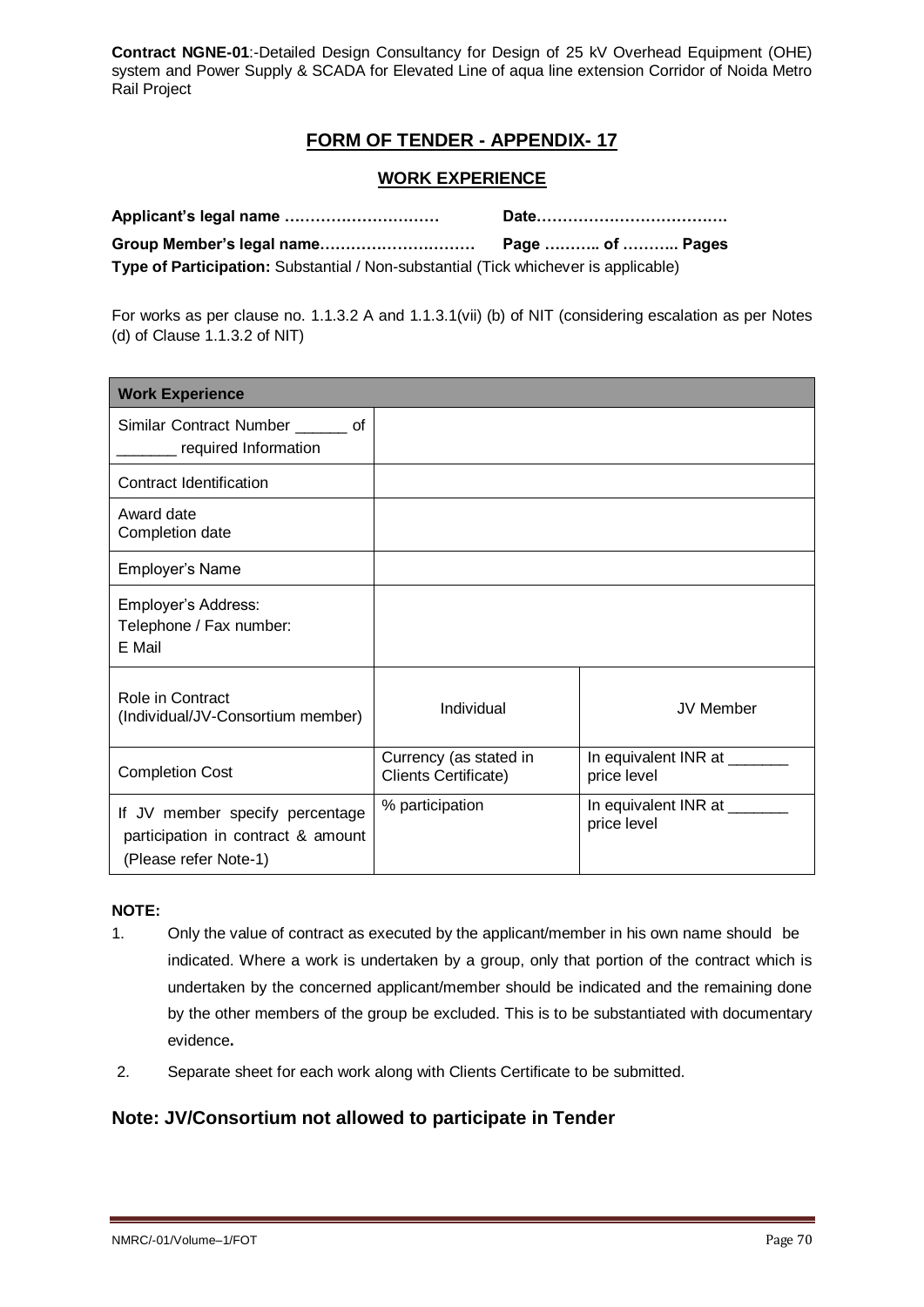# **FORM OF TENDER - APPENDIX- 17**

### **WORK EXPERIENCE**

|                                                                                     | Page ……… of ……… Pages |
|-------------------------------------------------------------------------------------|-----------------------|
| Type of Participation: Substantial / Non-substantial (Tick whichever is applicable) |                       |

For works as per clause no. 1.1.3.2 A and 1.1.3.1(vii) (b) of NIT (considering escalation as per Notes (d) of Clause 1.1.3.2 of NIT)

| <b>Work Experience</b>                                                                         |                                                       |                                             |
|------------------------------------------------------------------------------------------------|-------------------------------------------------------|---------------------------------------------|
| Similar Contract Number _______ of<br>required Information                                     |                                                       |                                             |
| <b>Contract Identification</b>                                                                 |                                                       |                                             |
| Award date<br>Completion date                                                                  |                                                       |                                             |
| Employer's Name                                                                                |                                                       |                                             |
| Employer's Address:<br>Telephone / Fax number:<br>E Mail                                       |                                                       |                                             |
| Role in Contract<br>(Individual/JV-Consortium member)                                          | Individual                                            | <b>JV Member</b>                            |
| <b>Completion Cost</b>                                                                         | Currency (as stated in<br><b>Clients Certificate)</b> | In equivalent INR at _______<br>price level |
| If JV member specify percentage<br>participation in contract & amount<br>(Please refer Note-1) | % participation                                       | In equivalent INR at _______<br>price level |

### **NOTE:**

- 1. Only the value of contract as executed by the applicant/member in his own name should be indicated. Where a work is undertaken by a group, only that portion of the contract which is undertaken by the concerned applicant/member should be indicated and the remaining done by the other members of the group be excluded. This is to be substantiated with documentary evidence**.**
- 2. Separate sheet for each work along with Clients Certificate to be submitted.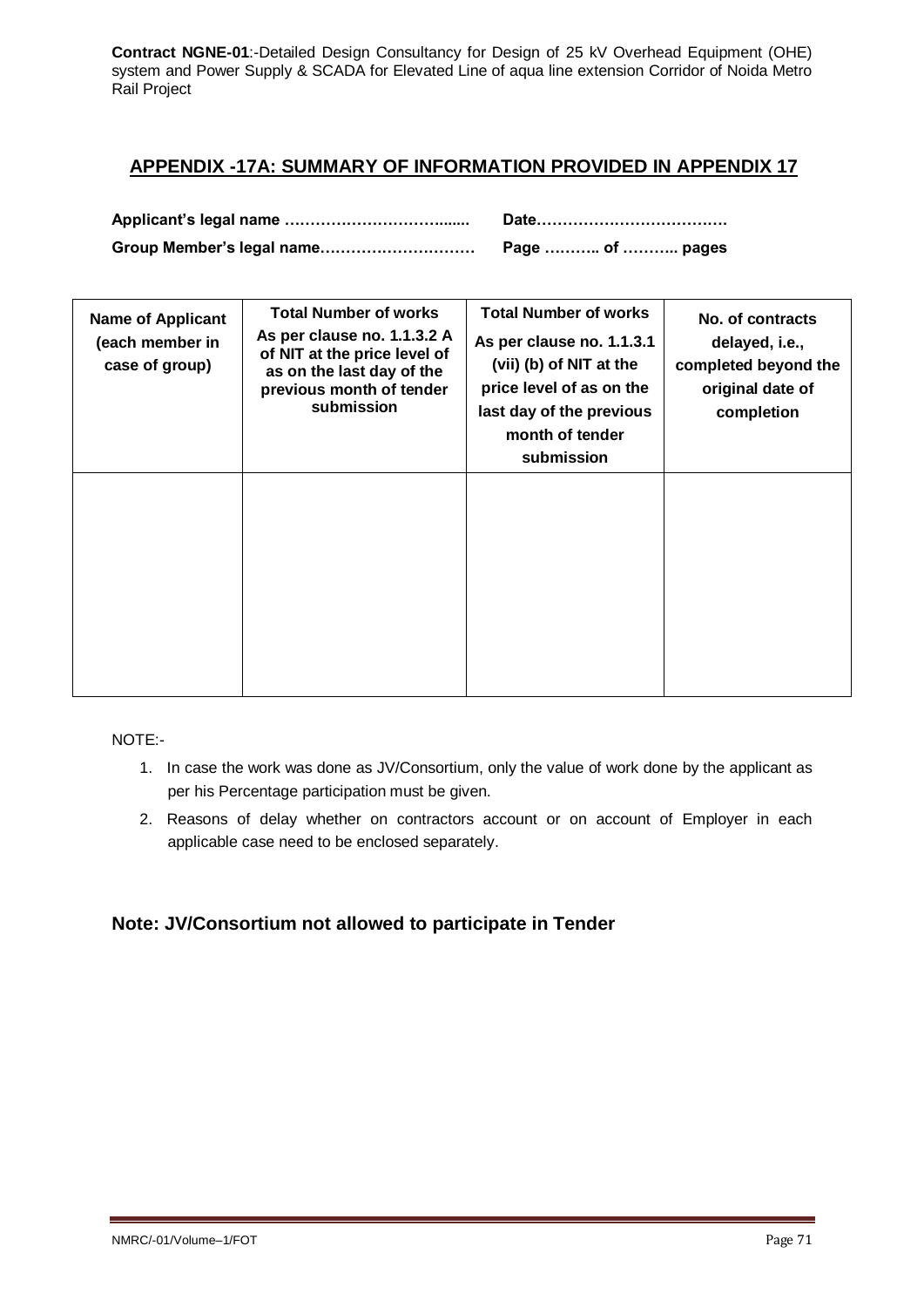# **APPENDIX -17A: SUMMARY OF INFORMATION PROVIDED IN APPENDIX 17**

| Group Member's legal name | Page  of  pages |
|---------------------------|-----------------|

| <b>Name of Applicant</b><br>(each member in<br>case of group) | <b>Total Number of works</b><br>As per clause no. 1.1.3.2 A<br>of NIT at the price level of<br>as on the last day of the<br>previous month of tender<br>submission | <b>Total Number of works</b><br>As per clause no. 1.1.3.1<br>(vii) (b) of NIT at the<br>price level of as on the<br>last day of the previous<br>month of tender<br>submission | No. of contracts<br>delayed, i.e.,<br>completed beyond the<br>original date of<br>completion |
|---------------------------------------------------------------|--------------------------------------------------------------------------------------------------------------------------------------------------------------------|-------------------------------------------------------------------------------------------------------------------------------------------------------------------------------|----------------------------------------------------------------------------------------------|
|                                                               |                                                                                                                                                                    |                                                                                                                                                                               |                                                                                              |

NOTE:-

- 1. In case the work was done as JV/Consortium, only the value of work done by the applicant as per his Percentage participation must be given.
- 2. Reasons of delay whether on contractors account or on account of Employer in each applicable case need to be enclosed separately.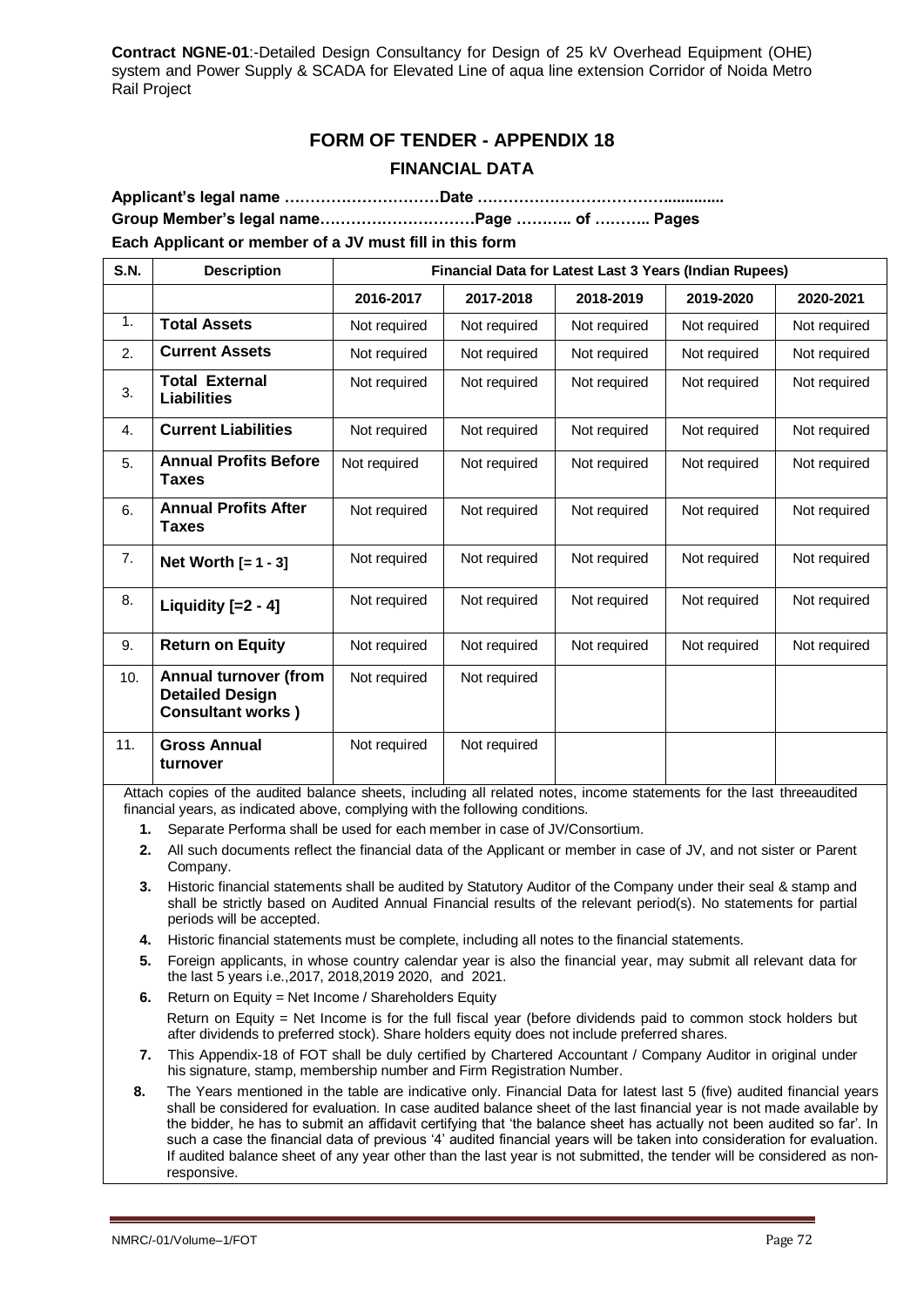# **FORM OF TENDER - APPENDIX 18 FINANCIAL DATA**

**Applicant's legal name …………………………Date ……………………………….............. Group Member's legal name…………………………Page ……….. of ……….. Pages Each Applicant or member of a JV must fill in this form**

| <b>S.N.</b> | <b>Description</b>                                                           | Financial Data for Latest Last 3 Years (Indian Rupees) |              |              |              |              |  |
|-------------|------------------------------------------------------------------------------|--------------------------------------------------------|--------------|--------------|--------------|--------------|--|
|             |                                                                              | 2016-2017                                              | 2017-2018    | 2018-2019    | 2019-2020    | 2020-2021    |  |
| 1.          | <b>Total Assets</b>                                                          | Not required                                           | Not required | Not required | Not required | Not required |  |
| 2.          | <b>Current Assets</b>                                                        | Not required                                           | Not required | Not required | Not required | Not required |  |
| 3.          | <b>Total External</b><br><b>Liabilities</b>                                  | Not required                                           | Not required | Not required | Not required | Not required |  |
| 4.          | <b>Current Liabilities</b>                                                   | Not required                                           | Not required | Not required | Not required | Not required |  |
| 5.          | <b>Annual Profits Before</b><br><b>Taxes</b>                                 | Not required                                           | Not required | Not required | Not required | Not required |  |
| 6.          | <b>Annual Profits After</b><br><b>Taxes</b>                                  | Not required                                           | Not required | Not required | Not required | Not required |  |
| 7.          | Net Worth $[-1 - 3]$                                                         | Not required                                           | Not required | Not required | Not required | Not required |  |
| 8.          | Liquidity $[-2 - 4]$                                                         | Not required                                           | Not required | Not required | Not required | Not required |  |
| 9.          | <b>Return on Equity</b>                                                      | Not required                                           | Not required | Not required | Not required | Not required |  |
| 10.         | Annual turnover (from<br><b>Detailed Design</b><br><b>Consultant works</b> ) | Not required                                           | Not required |              |              |              |  |
| 11.         | <b>Gross Annual</b><br>turnover                                              | Not required                                           | Not required |              |              |              |  |

Attach copies of the audited balance sheets, including all related notes, income statements for the last threeaudited financial years, as indicated above, complying with the following conditions.

- **1.** Separate Performa shall be used for each member in case of JV/Consortium.
- **2.** All such documents reflect the financial data of the Applicant or member in case of JV, and not sister or Parent Company.
- **3.** Historic financial statements shall be audited by Statutory Auditor of the Company under their seal & stamp and shall be strictly based on Audited Annual Financial results of the relevant period(s). No statements for partial periods will be accepted.
- **4.** Historic financial statements must be complete, including all notes to the financial statements.
- **5.** Foreign applicants, in whose country calendar year is also the financial year, may submit all relevant data for the last 5 years i.e.,2017, 2018,2019 2020, and 2021.
- **6.** Return on Equity = Net Income / Shareholders Equity Return on Equity = Net Income is for the full fiscal year (before dividends paid to common stock holders but after dividends to preferred stock). Share holders equity does not include preferred shares.
- **7.** This Appendix-18 of FOT shall be duly certified by Chartered Accountant / Company Auditor in original under his signature, stamp, membership number and Firm Registration Number.
- **8.** The Years mentioned in the table are indicative only. Financial Data for latest last 5 (five) audited financial years shall be considered for evaluation. In case audited balance sheet of the last financial year is not made available by the bidder, he has to submit an affidavit certifying that 'the balance sheet has actually not been audited so far'. In such a case the financial data of previous '4' audited financial years will be taken into consideration for evaluation. If audited balance sheet of any year other than the last year is not submitted, the tender will be considered as nonresponsive.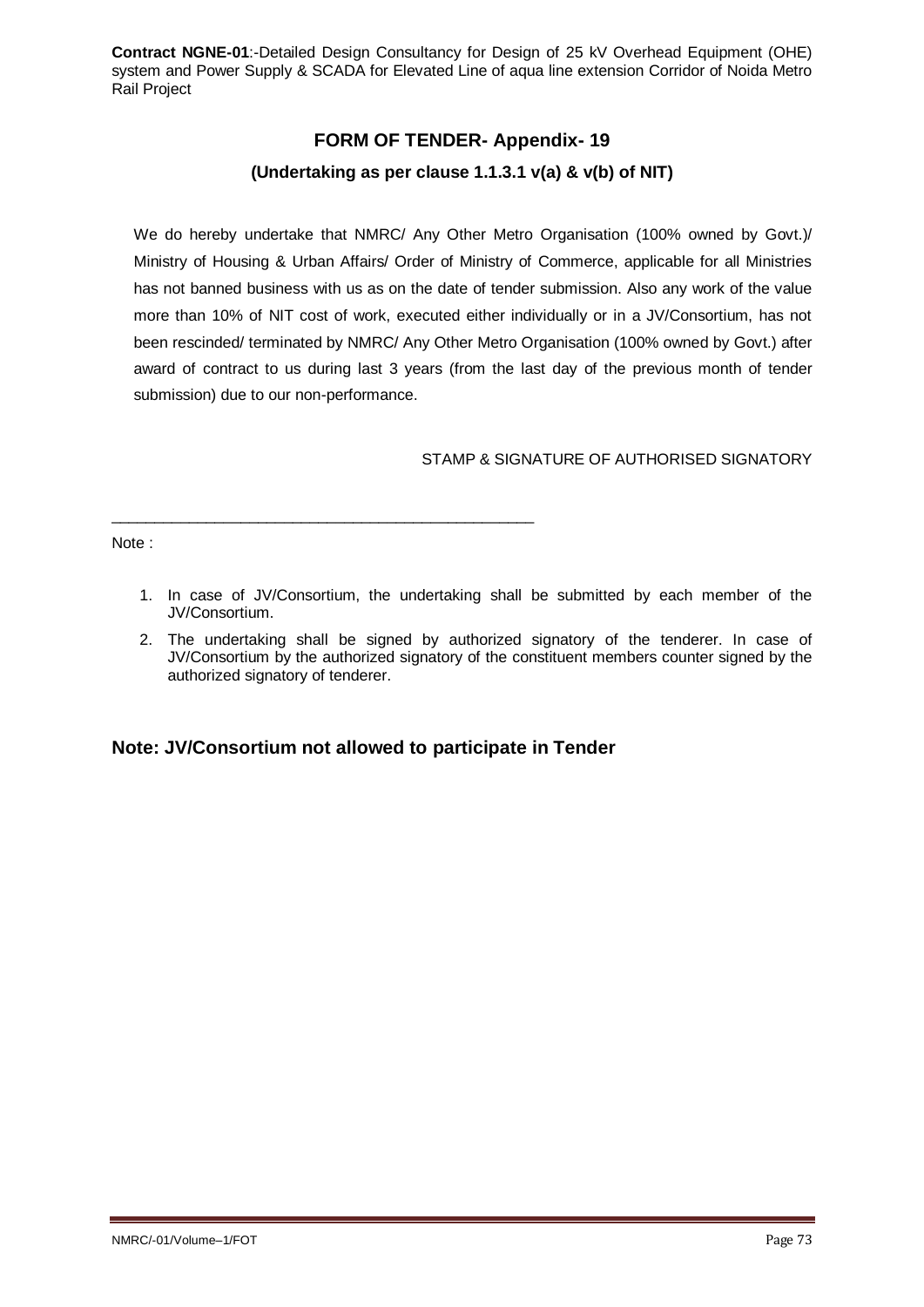# **FORM OF TENDER- Appendix- 19 (Undertaking as per clause 1.1.3.1 v(a) & v(b) of NIT)**

We do hereby undertake that NMRC/ Any Other Metro Organisation (100% owned by Govt.)/ Ministry of Housing & Urban Affairs/ Order of Ministry of Commerce, applicable for all Ministries has not banned business with us as on the date of tender submission. Also any work of the value more than 10% of NIT cost of work, executed either individually or in a JV/Consortium, has not been rescinded/ terminated by NMRC/ Any Other Metro Organisation (100% owned by Govt.) after award of contract to us during last 3 years (from the last day of the previous month of tender submission) due to our non-performance.

STAMP & SIGNATURE OF AUTHORISED SIGNATORY

Note :

- 1. In case of JV/Consortium, the undertaking shall be submitted by each member of the JV/Consortium.
- 2. The undertaking shall be signed by authorized signatory of the tenderer. In case of JV/Consortium by the authorized signatory of the constituent members counter signed by the authorized signatory of tenderer.

## **Note: JV/Consortium not allowed to participate in Tender**

\_\_\_\_\_\_\_\_\_\_\_\_\_\_\_\_\_\_\_\_\_\_\_\_\_\_\_\_\_\_\_\_\_\_\_\_\_\_\_\_\_\_\_\_\_\_\_\_\_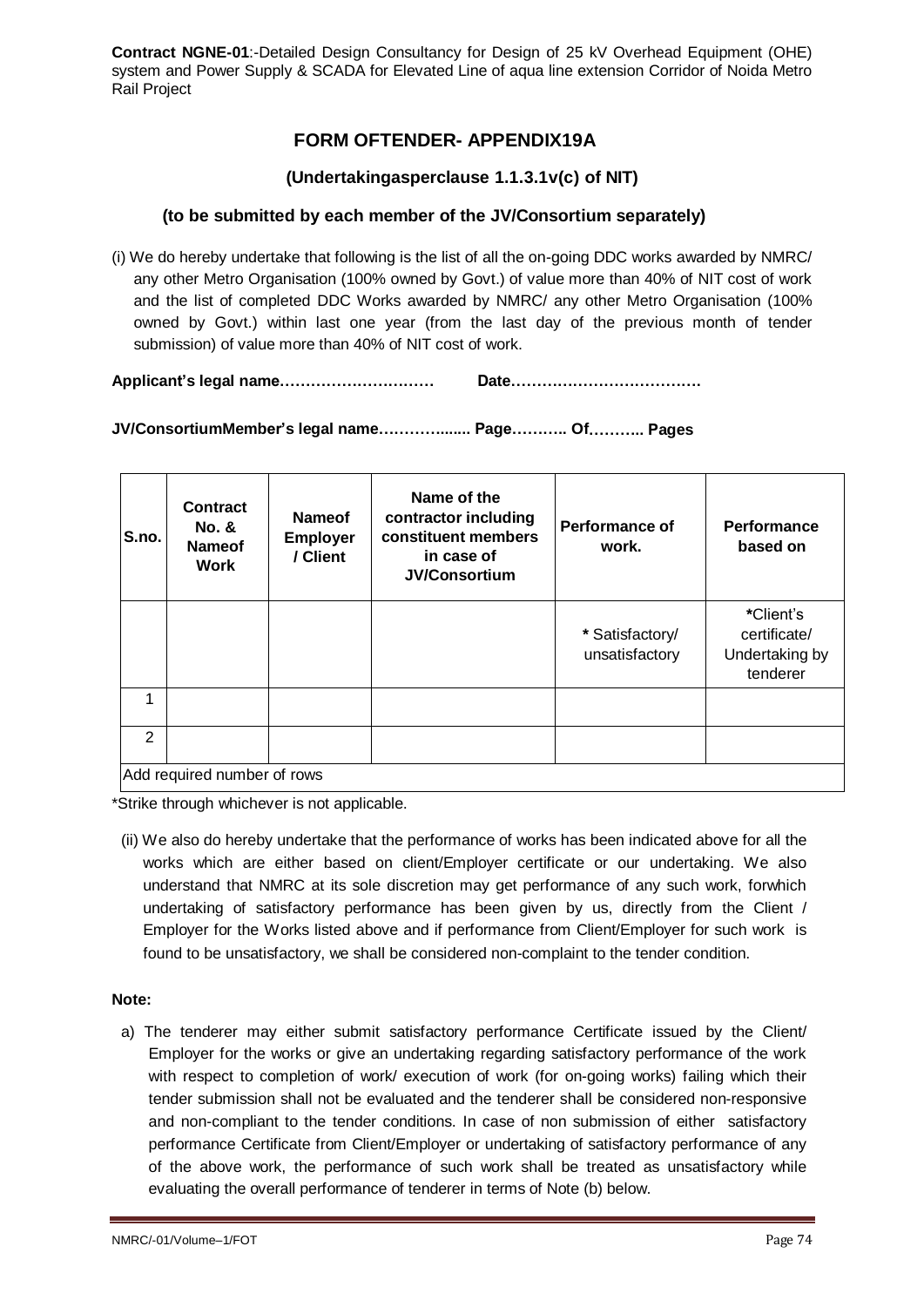# **FORM OFTENDER- APPENDIX19A**

### **(Undertakingasperclause 1.1.3.1v(c) of NIT)**

### **(to be submitted by each member of the JV/Consortium separately)**

(i) We do hereby undertake that following is the list of all the on-going DDC works awarded by NMRC/ any other Metro Organisation (100% owned by Govt.) of value more than 40% of NIT cost of work and the list of completed DDC Works awarded by NMRC/ any other Metro Organisation (100% owned by Govt.) within last one year (from the last day of the previous month of tender submission) of value more than 40% of NIT cost of work.

**Applicant's legal name………………………… Date……………………………….** 

**JV/ConsortiumMember's legal name…………....... Page……….. Of……….. Pages**

| S.no. | <b>Contract</b><br><b>No. &amp;</b><br><b>Nameof</b><br><b>Work</b> | <b>Nameof</b><br><b>Employer</b><br>/ Client | Name of the<br>contractor including<br>constituent members<br>in case of<br><b>JV/Consortium</b> | <b>Performance of</b><br>work.    | <b>Performance</b><br>based on                          |  |  |
|-------|---------------------------------------------------------------------|----------------------------------------------|--------------------------------------------------------------------------------------------------|-----------------------------------|---------------------------------------------------------|--|--|
|       |                                                                     |                                              |                                                                                                  | * Satisfactory/<br>unsatisfactory | *Client's<br>certificate/<br>Undertaking by<br>tenderer |  |  |
|       |                                                                     |                                              |                                                                                                  |                                   |                                                         |  |  |
| 2     |                                                                     |                                              |                                                                                                  |                                   |                                                         |  |  |
|       | Add required number of rows                                         |                                              |                                                                                                  |                                   |                                                         |  |  |

\*Strike through whichever is not applicable.

(ii) We also do hereby undertake that the performance of works has been indicated above for all the works which are either based on client/Employer certificate or our undertaking. We also understand that NMRC at its sole discretion may get performance of any such work, forwhich undertaking of satisfactory performance has been given by us, directly from the Client / Employer for the Works listed above and if performance from Client/Employer for such work is found to be unsatisfactory, we shall be considered non-complaint to the tender condition.

#### **Note:**

a) The tenderer may either submit satisfactory performance Certificate issued by the Client/ Employer for the works or give an undertaking regarding satisfactory performance of the work with respect to completion of work/ execution of work (for on-going works) failing which their tender submission shall not be evaluated and the tenderer shall be considered non-responsive and non-compliant to the tender conditions. In case of non submission of either satisfactory performance Certificate from Client/Employer or undertaking of satisfactory performance of any of the above work, the performance of such work shall be treated as unsatisfactory while evaluating the overall performance of tenderer in terms of Note (b) below.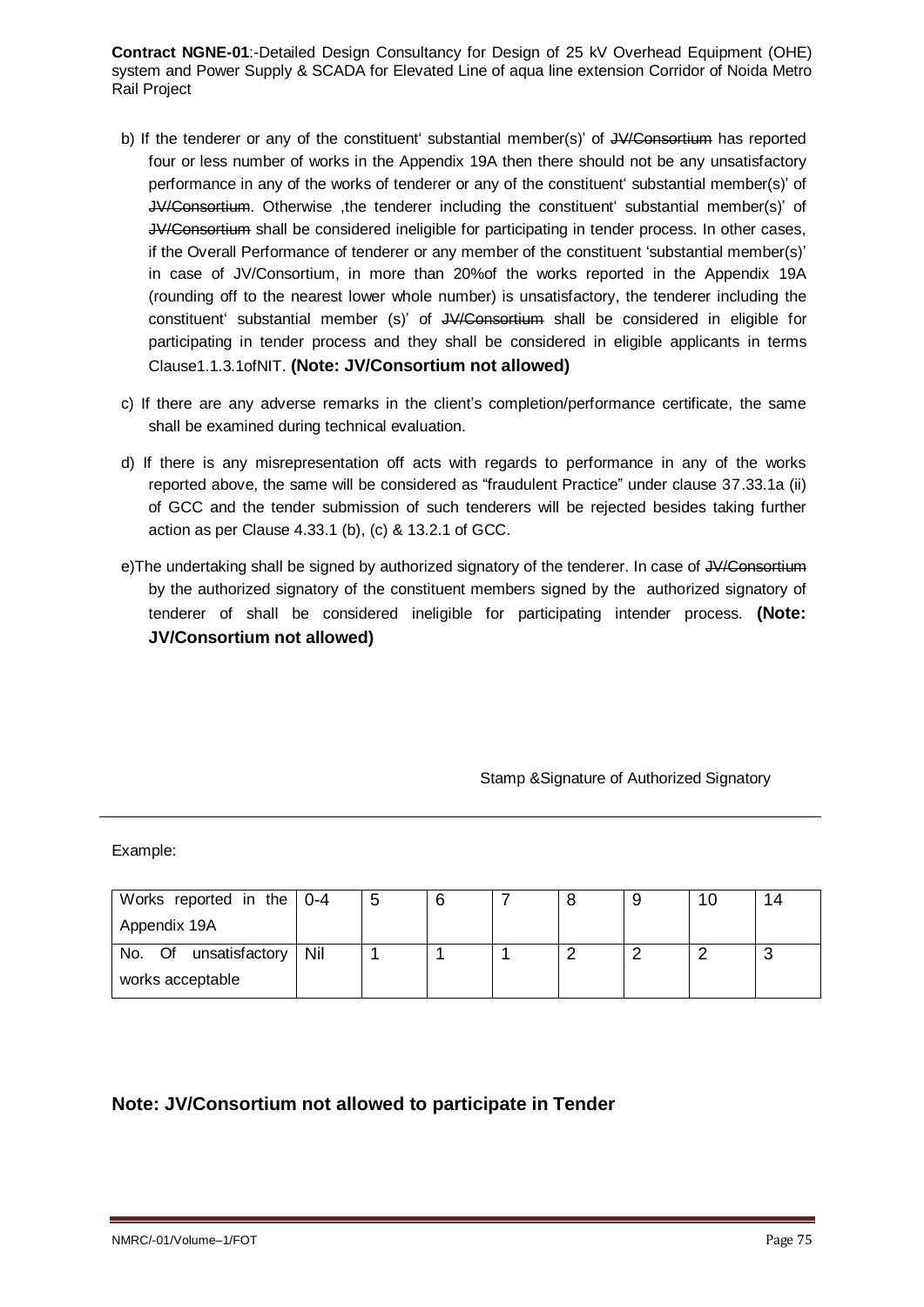- b) If the tenderer or any of the constituent' substantial member(s)' of JV/Consortium has reported four or less number of works in the Appendix 19A then there should not be any unsatisfactory performance in any of the works of tenderer or any of the constituent' substantial member(s)' of JV/Consortium. Otherwise ,the tenderer including the constituent' substantial member(s)' of JV/Consortium shall be considered ineligible for participating in tender process. In other cases, if the Overall Performance of tenderer or any member of the constituent 'substantial member(s)' in case of JV/Consortium, in more than 20%of the works reported in the Appendix 19A (rounding off to the nearest lower whole number) is unsatisfactory, the tenderer including the constituent' substantial member (s)' of JV/Consortium shall be considered in eligible for participating in tender process and they shall be considered in eligible applicants in terms Clause1.1.3.1ofNIT. **(Note: JV/Consortium not allowed)**
- c) If there are any adverse remarks in the client's completion/performance certificate, the same shall be examined during technical evaluation.
- d) If there is any misrepresentation off acts with regards to performance in any of the works reported above, the same will be considered as "fraudulent Practice" under clause 37.33.1a (ii) of GCC and the tender submission of such tenderers will be rejected besides taking further action as per Clause 4.33.1 (b), (c) & 13.2.1 of GCC.
- e)The undertaking shall be signed by authorized signatory of the tenderer. In case of JV/Consortium by the authorized signatory of the constituent members signed by the authorized signatory of tenderer of shall be considered ineligible for participating intender process. **(Note: JV/Consortium not allowed)**

Stamp &Signature of Authorized Signatory

Example:

| Works reported in the $\vert$ 0-4 | 5 |  |  | 14 |
|-----------------------------------|---|--|--|----|
| Appendix 19A                      |   |  |  |    |
| No. Of unsatisfactory   Nil       |   |  |  |    |
| works acceptable                  |   |  |  |    |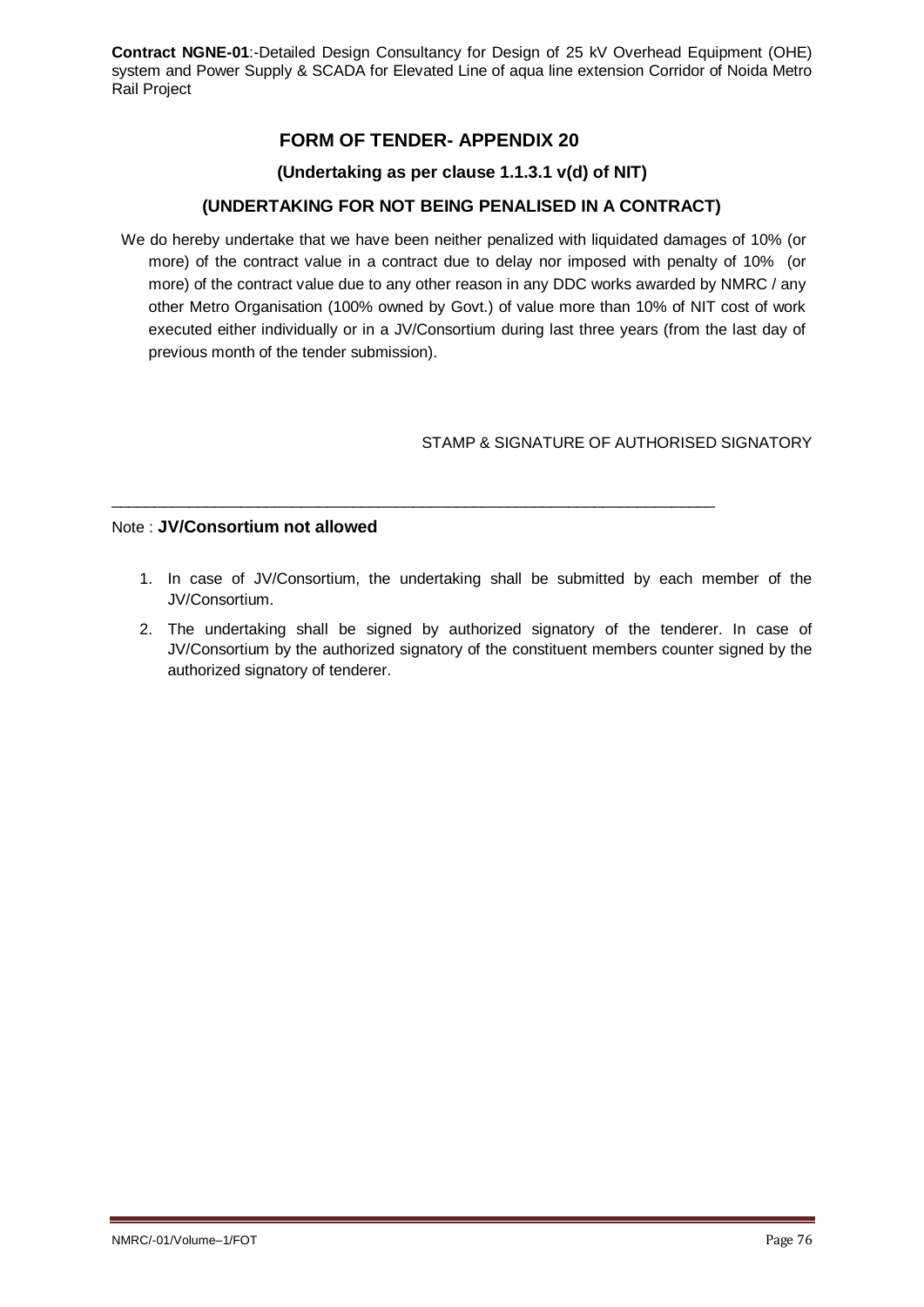# **FORM OF TENDER- APPENDIX 20**

### **(Undertaking as per clause 1.1.3.1 v(d) of NIT)**

## **(UNDERTAKING FOR NOT BEING PENALISED IN A CONTRACT)**

We do hereby undertake that we have been neither penalized with liquidated damages of 10% (or more) of the contract value in a contract due to delay nor imposed with penalty of 10% (or more) of the contract value due to any other reason in any DDC works awarded by NMRC / any other Metro Organisation (100% owned by Govt.) of value more than 10% of NIT cost of work executed either individually or in a JV/Consortium during last three years (from the last day of previous month of the tender submission).

### STAMP & SIGNATURE OF AUTHORISED SIGNATORY

#### Note : **JV/Consortium not allowed**

1. In case of JV/Consortium, the undertaking shall be submitted by each member of the JV/Consortium.

 $\_$  ,  $\_$  ,  $\_$  ,  $\_$  ,  $\_$  ,  $\_$  ,  $\_$  ,  $\_$  ,  $\_$  ,  $\_$  ,  $\_$  ,  $\_$  ,  $\_$  ,  $\_$  ,  $\_$  ,  $\_$  ,  $\_$  ,  $\_$  ,  $\_$  ,  $\_$ 

2. The undertaking shall be signed by authorized signatory of the tenderer. In case of JV/Consortium by the authorized signatory of the constituent members counter signed by the authorized signatory of tenderer.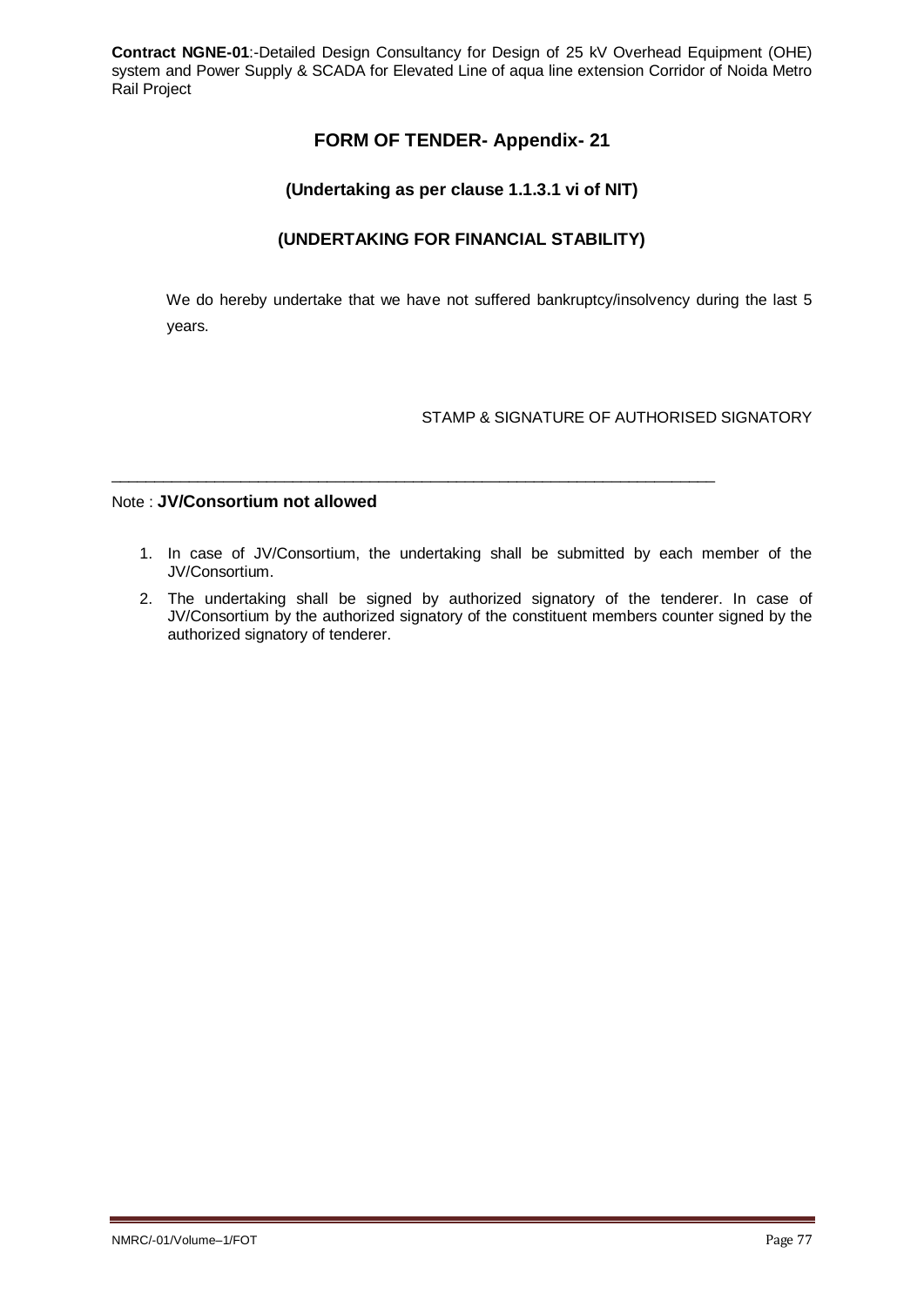# **FORM OF TENDER- Appendix- 21**

### **(Undertaking as per clause 1.1.3.1 vi of NIT)**

## **(UNDERTAKING FOR FINANCIAL STABILITY)**

We do hereby undertake that we have not suffered bankruptcy/insolvency during the last 5 years.

### STAMP & SIGNATURE OF AUTHORISED SIGNATORY

#### Note : **JV/Consortium not allowed**

1. In case of JV/Consortium, the undertaking shall be submitted by each member of the JV/Consortium.

\_\_\_\_\_\_\_\_\_\_\_\_\_\_\_\_\_\_\_\_\_\_\_\_\_\_\_\_\_\_\_\_\_\_\_\_\_\_\_\_\_\_\_\_\_\_\_\_\_\_\_\_\_\_\_\_\_\_\_\_\_\_\_\_\_\_\_\_\_\_

2. The undertaking shall be signed by authorized signatory of the tenderer. In case of JV/Consortium by the authorized signatory of the constituent members counter signed by the authorized signatory of tenderer.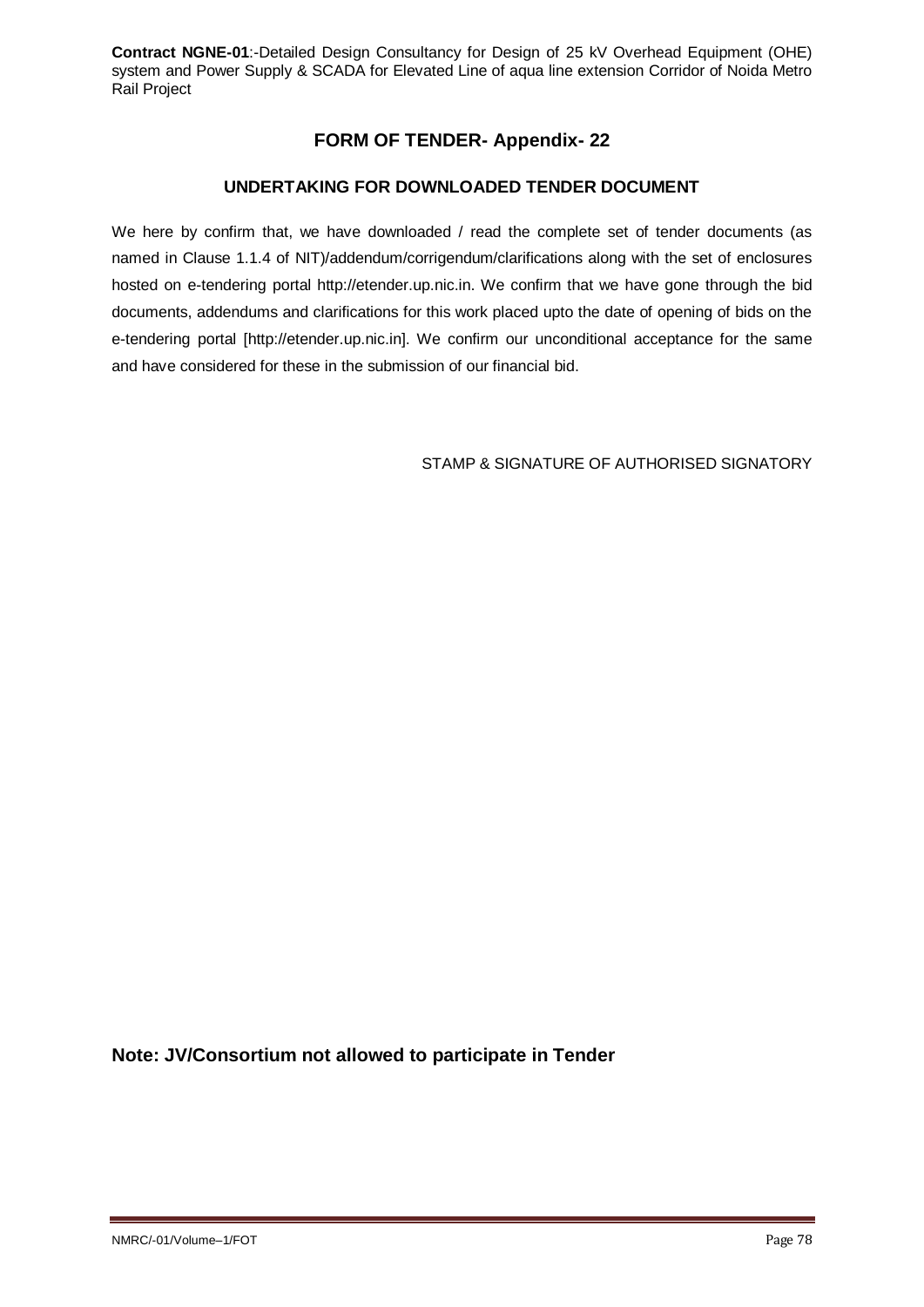# **FORM OF TENDER- Appendix- 22**

## **UNDERTAKING FOR DOWNLOADED TENDER DOCUMENT**

We here by confirm that, we have downloaded / read the complete set of tender documents (as named in Clause 1.1.4 of NIT)/addendum/corrigendum/clarifications along with the set of enclosures hosted on e-tendering portal http://etender.up.nic.in. We confirm that we have gone through the bid documents, addendums and clarifications for this work placed upto the date of opening of bids on the e-tendering portal [http://etender.up.nic.in]. We confirm our unconditional acceptance for the same and have considered for these in the submission of our financial bid.

STAMP & SIGNATURE OF AUTHORISED SIGNATORY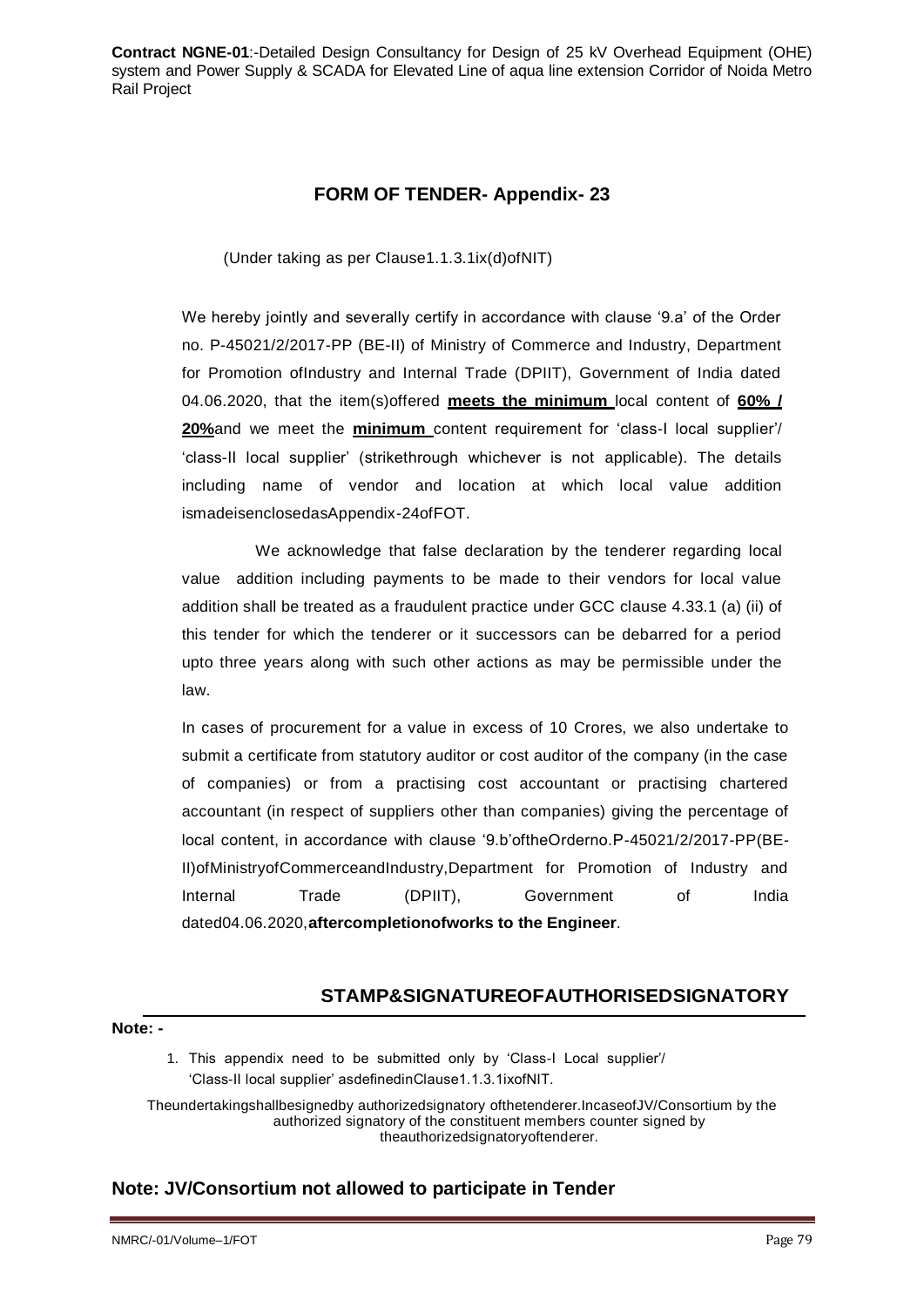## **FORM OF TENDER- Appendix- 23**

(Under taking as per Clause1.1.3.1ix(d)ofNIT)

We hereby jointly and severally certify in accordance with clause '9.a' of the Order no. P-45021/2/2017-PP (BE-II) of Ministry of Commerce and Industry, Department for Promotion ofIndustry and Internal Trade (DPIIT), Government of India dated 04.06.2020, that the item(s)offered **meets the minimum** local content of **60% / 20%**and we meet the **minimum** content requirement for 'class-I local supplier'/ 'class-II local supplier' (strikethrough whichever is not applicable). The details including name of vendor and location at which local value addition ismadeisenclosedasAppendix-24ofFOT.

We acknowledge that false declaration by the tenderer regarding local value addition including payments to be made to their vendors for local value addition shall be treated as a fraudulent practice under GCC clause 4.33.1 (a) (ii) of this tender for which the tenderer or it successors can be debarred for a period upto three years along with such other actions as may be permissible under the law.

In cases of procurement for a value in excess of 10 Crores, we also undertake to submit a certificate from statutory auditor or cost auditor of the company (in the case of companies) or from a practising cost accountant or practising chartered accountant (in respect of suppliers other than companies) giving the percentage of local content, in accordance with clause '9.b'oftheOrderno.P-45021/2/2017-PP(BE-II)ofMinistryofCommerceandIndustry,Department for Promotion of Industry and Internal Trade (DPIIT), Government of India dated04.06.2020,**aftercompletionofworks to the Engineer**.

# **STAMP&SIGNATUREOFAUTHORISEDSIGNATORY**

#### **Note: -**

1. This appendix need to be submitted only by 'Class-I Local supplier'/ 'Class-II local supplier' asdefinedinClause1.1.3.1ixofNIT.

Theundertakingshallbesignedby authorizedsignatory ofthetenderer.IncaseofJV/Consortium by the authorized signatory of the constituent members counter signed by theauthorizedsignatoryoftenderer.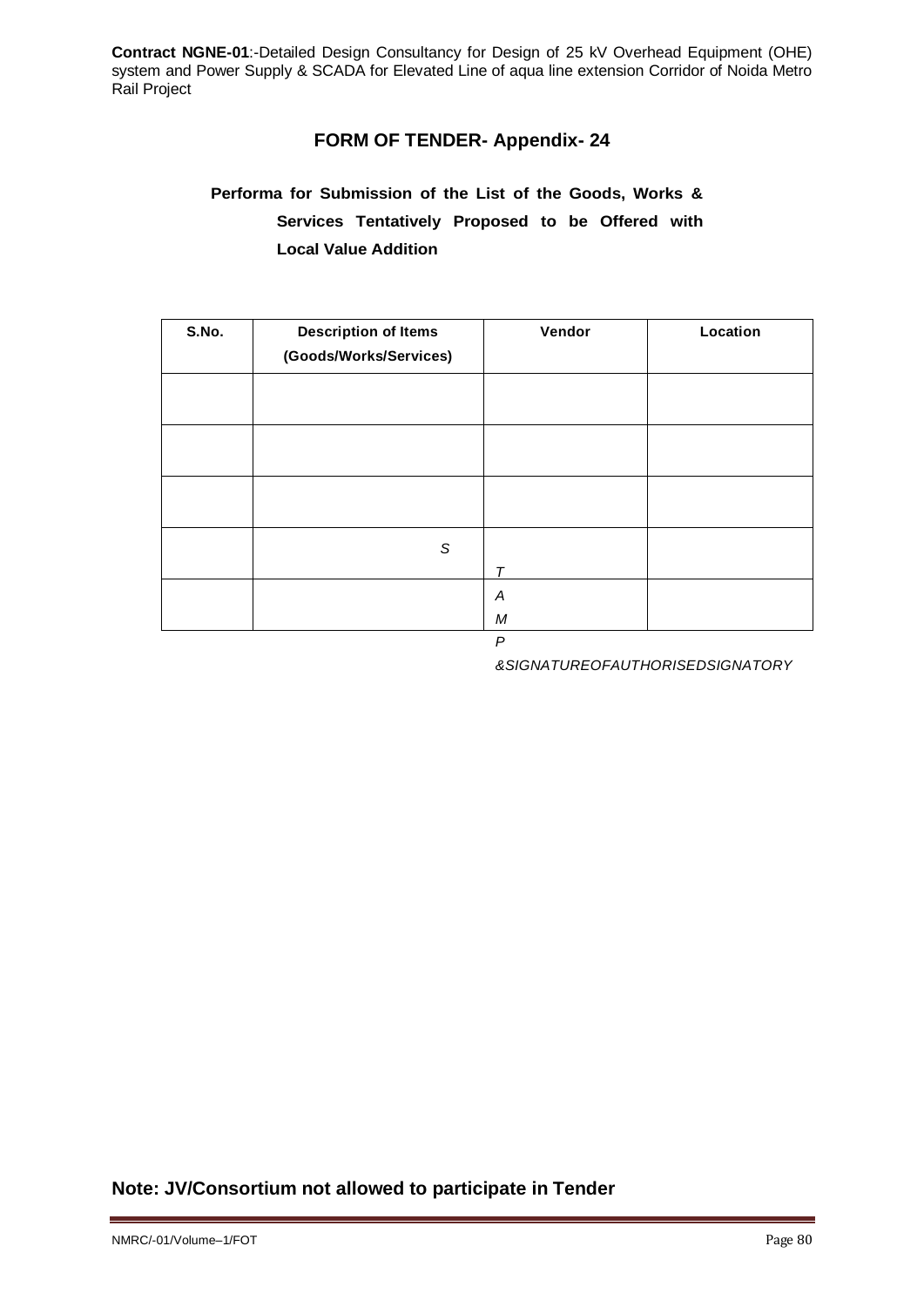## **FORM OF TENDER- Appendix- 24**

# **Performa for Submission of the List of the Goods, Works & Services Tentatively Proposed to be Offered with Local Value Addition**

| S.No. | <b>Description of Items</b><br>(Goods/Works/Services) | Vendor | Location |
|-------|-------------------------------------------------------|--------|----------|
|       |                                                       |        |          |
|       |                                                       |        |          |
|       |                                                       |        |          |
|       | S                                                     | $\tau$ |          |
|       |                                                       | Α<br>M |          |

*&SIGNATUREOFAUTHORISEDSIGNATORY*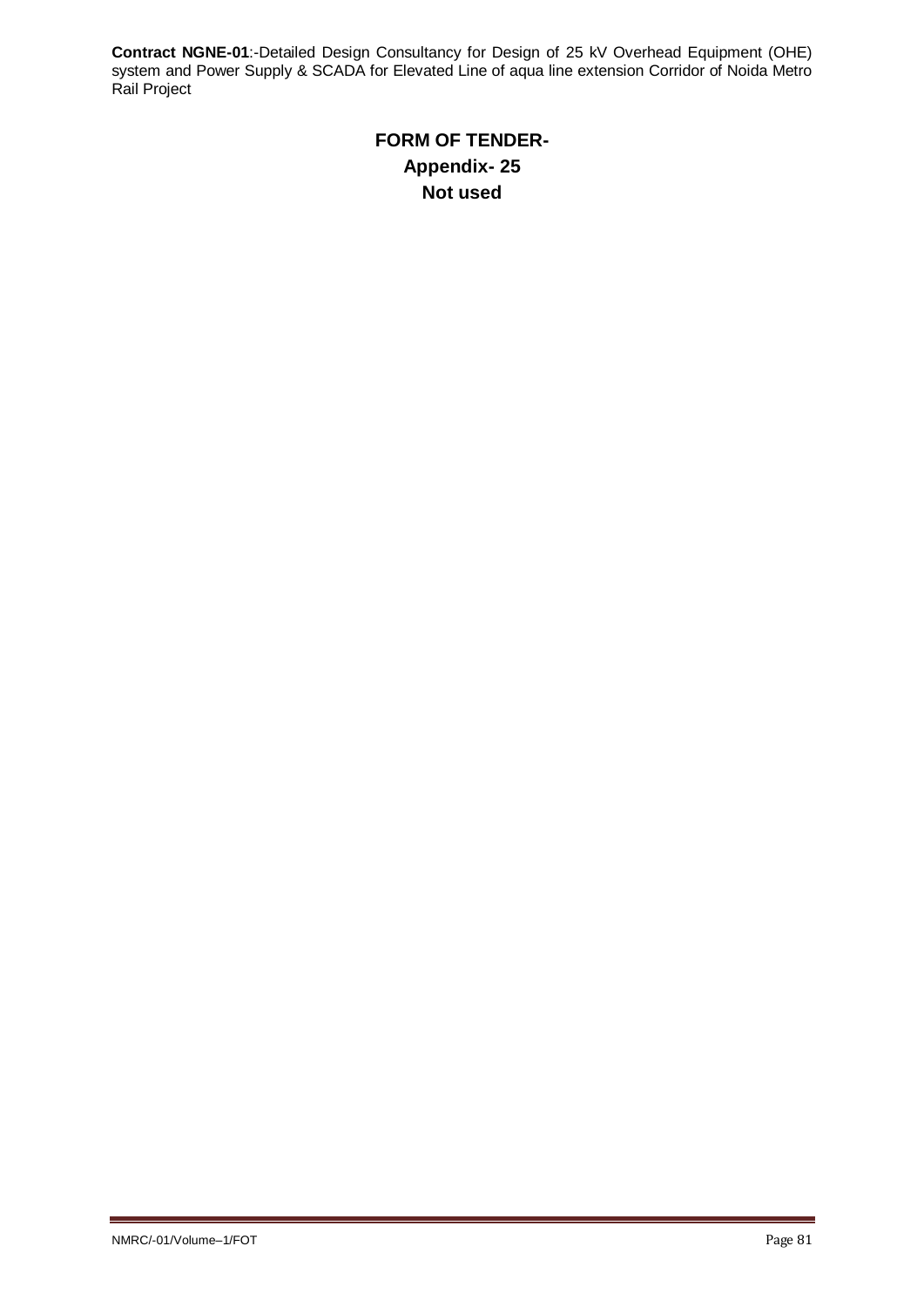# **FORM OF TENDER-Appendix- 25 Not used**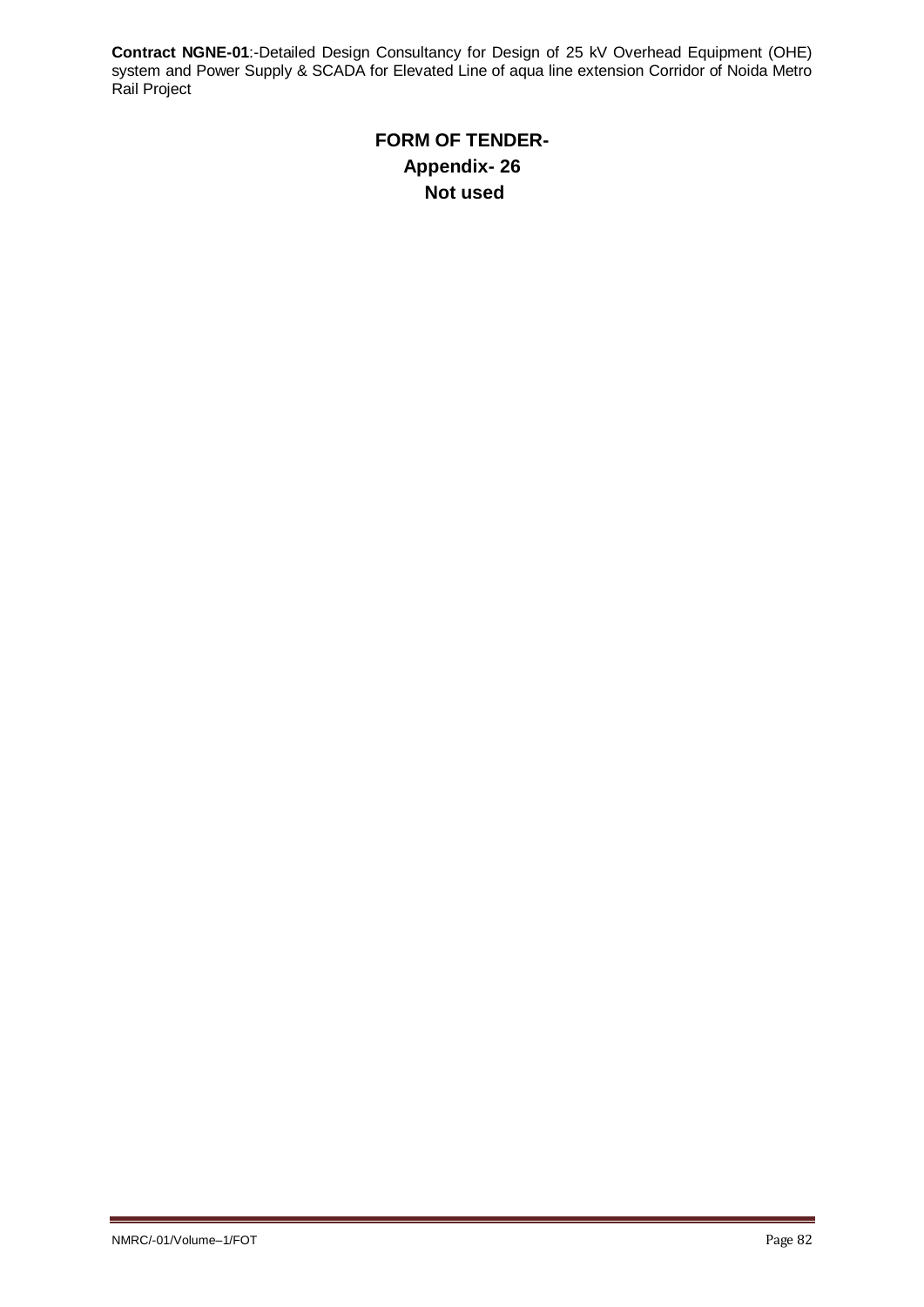# **FORM OF TENDER-Appendix- 26 Not used**